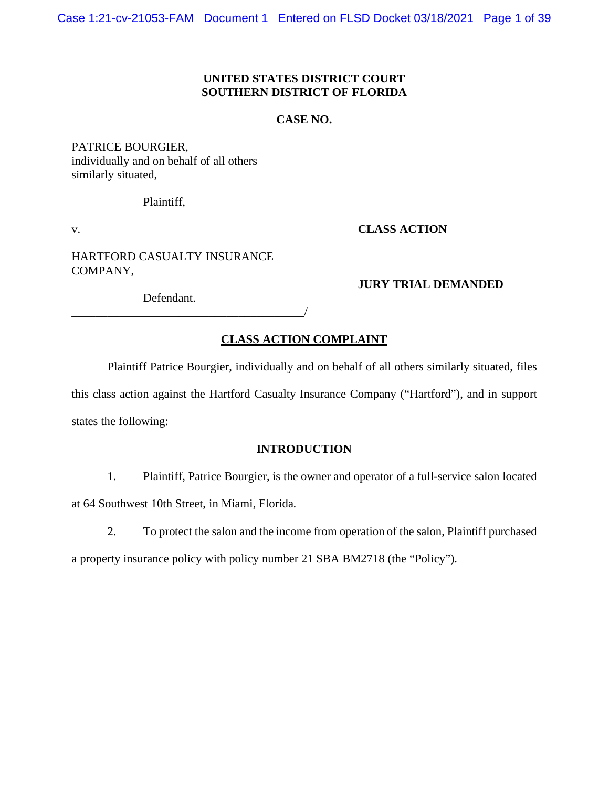### **UNITED STATES DISTRICT COURT SOUTHERN DISTRICT OF FLORIDA**

### **CASE NO.**

PATRICE BOURGIER, individually and on behalf of all others similarly situated,

Plaintiff,

v. **CLASS ACTION**

HARTFORD CASUALTY INSURANCE COMPANY,

**JURY TRIAL DEMANDED**

Defendant.

\_\_\_\_\_\_\_\_\_\_\_\_\_\_\_\_\_\_\_\_\_\_\_\_\_\_\_\_\_\_\_\_\_\_\_\_\_\_\_/

# **CLASS ACTION COMPLAINT**

Plaintiff Patrice Bourgier, individually and on behalf of all others similarly situated, files

this class action against the Hartford Casualty Insurance Company ("Hartford"), and in support states the following:

## **INTRODUCTION**

- 1. Plaintiff, Patrice Bourgier, is the owner and operator of a full-service salon located at 64 Southwest 10th Street, in Miami, Florida.
	- 2. To protect the salon and the income from operation of the salon, Plaintiff purchased

a property insurance policy with policy number 21 SBA BM2718 (the "Policy").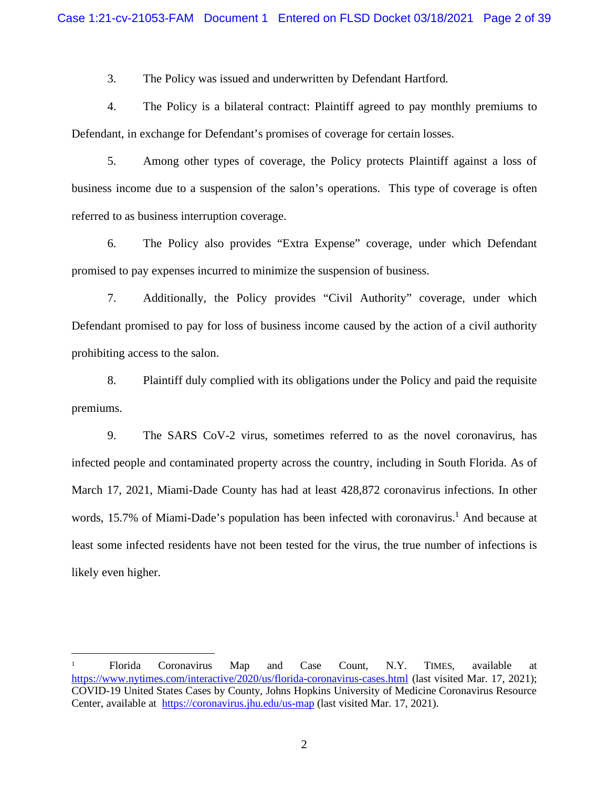3. The Policy was issued and underwritten by Defendant Hartford.

4. The Policy is a bilateral contract: Plaintiff agreed to pay monthly premiums to Defendant, in exchange for Defendant's promises of coverage for certain losses.

5. Among other types of coverage, the Policy protects Plaintiff against a loss of business income due to a suspension of the salon's operations. This type of coverage is often referred to as business interruption coverage.

6. The Policy also provides "Extra Expense" coverage, under which Defendant promised to pay expenses incurred to minimize the suspension of business.

7. Additionally, the Policy provides "Civil Authority" coverage, under which Defendant promised to pay for loss of business income caused by the action of a civil authority prohibiting access to the salon.

8. Plaintiff duly complied with its obligations under the Policy and paid the requisite premiums.

9. The SARS CoV-2 virus, sometimes referred to as the novel coronavirus, has infected people and contaminated property across the country, including in South Florida. As of March 17, 2021, Miami-Dade County has had at least 428,872 coronavirus infections. In other words, 15.7% of Miami-Dade's population has been infected with coronavirus.<sup>1</sup> And because at least some infected residents have not been tested for the virus, the true number of infections is likely even higher.

<sup>1</sup> Florida Coronavirus Map and Case Count, N.Y. TIMES, available at https://www.nytimes.com/interactive/2020/us/florida-coronavirus-cases.html (last visited Mar. 17, 2021); COVID-19 United States Cases by County, Johns Hopkins University of Medicine Coronavirus Resource Center, available at https://coronavirus.jhu.edu/us-map (last visited Mar. 17, 2021).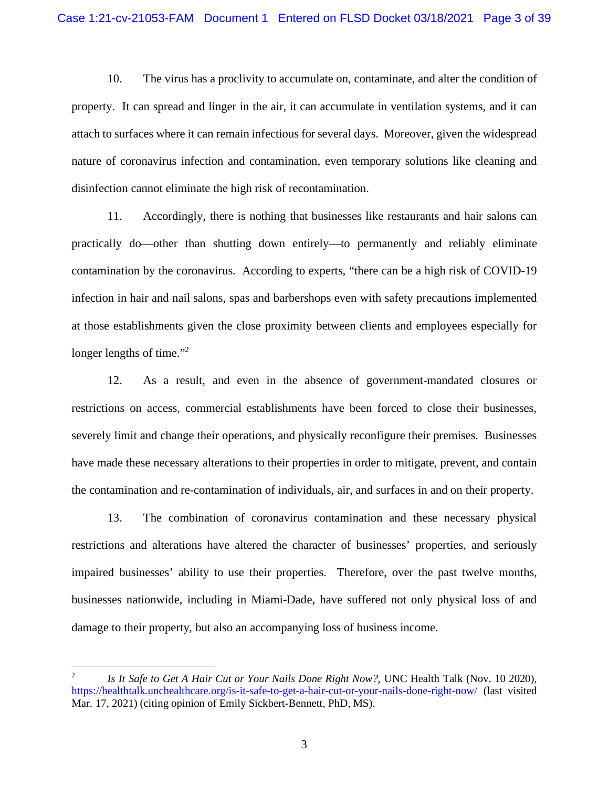10. The virus has a proclivity to accumulate on, contaminate, and alter the condition of property. It can spread and linger in the air, it can accumulate in ventilation systems, and it can attach to surfaces where it can remain infectious for several days. Moreover, given the widespread nature of coronavirus infection and contamination, even temporary solutions like cleaning and disinfection cannot eliminate the high risk of recontamination.

11. Accordingly, there is nothing that businesses like restaurants and hair salons can practically do—other than shutting down entirely—to permanently and reliably eliminate contamination by the coronavirus. According to experts, "there can be a high risk of COVID-19 infection in hair and nail salons, spas and barbershops even with safety precautions implemented at those establishments given the close proximity between clients and employees especially for longer lengths of time."<sup>2</sup>

12. As a result, and even in the absence of government-mandated closures or restrictions on access, commercial establishments have been forced to close their businesses, severely limit and change their operations, and physically reconfigure their premises. Businesses have made these necessary alterations to their properties in order to mitigate, prevent, and contain the contamination and re-contamination of individuals, air, and surfaces in and on their property.

13. The combination of coronavirus contamination and these necessary physical restrictions and alterations have altered the character of businesses' properties, and seriously impaired businesses' ability to use their properties. Therefore, over the past twelve months, businesses nationwide, including in Miami-Dade, have suffered not only physical loss of and damage to their property, but also an accompanying loss of business income.

<sup>2</sup> *Is It Safe to Get A Hair Cut or Your Nails Done Right Now?,* UNC Health Talk (Nov. 10 2020), https://healthtalk.unchealthcare.org/is-it-safe-to-get-a-hair-cut-or-your-nails-done-right-now/ (last visited Mar. 17, 2021) (citing opinion of Emily Sickbert-Bennett, PhD, MS).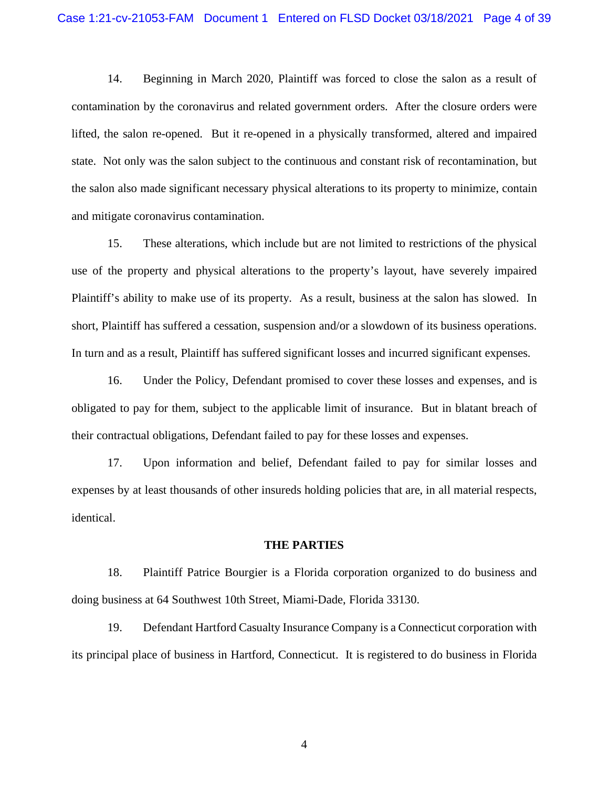14. Beginning in March 2020, Plaintiff was forced to close the salon as a result of contamination by the coronavirus and related government orders. After the closure orders were lifted, the salon re-opened. But it re-opened in a physically transformed, altered and impaired state. Not only was the salon subject to the continuous and constant risk of recontamination, but the salon also made significant necessary physical alterations to its property to minimize, contain and mitigate coronavirus contamination.

15. These alterations, which include but are not limited to restrictions of the physical use of the property and physical alterations to the property's layout, have severely impaired Plaintiff's ability to make use of its property. As a result, business at the salon has slowed. In short, Plaintiff has suffered a cessation, suspension and/or a slowdown of its business operations. In turn and as a result, Plaintiff has suffered significant losses and incurred significant expenses.

16. Under the Policy, Defendant promised to cover these losses and expenses, and is obligated to pay for them, subject to the applicable limit of insurance. But in blatant breach of their contractual obligations, Defendant failed to pay for these losses and expenses.

17. Upon information and belief, Defendant failed to pay for similar losses and expenses by at least thousands of other insureds holding policies that are, in all material respects, identical.

#### **THE PARTIES**

18. Plaintiff Patrice Bourgier is a Florida corporation organized to do business and doing business at 64 Southwest 10th Street, Miami-Dade, Florida 33130.

19. Defendant Hartford Casualty Insurance Company is a Connecticut corporation with its principal place of business in Hartford, Connecticut. It is registered to do business in Florida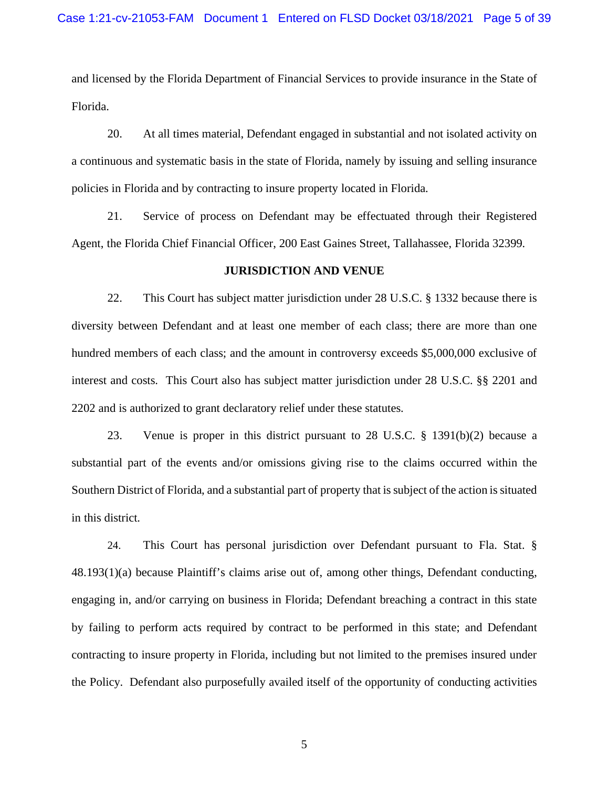and licensed by the Florida Department of Financial Services to provide insurance in the State of Florida.

20. At all times material, Defendant engaged in substantial and not isolated activity on a continuous and systematic basis in the state of Florida, namely by issuing and selling insurance policies in Florida and by contracting to insure property located in Florida.

21. Service of process on Defendant may be effectuated through their Registered Agent, the Florida Chief Financial Officer, 200 East Gaines Street, Tallahassee, Florida 32399.

#### **JURISDICTION AND VENUE**

22. This Court has subject matter jurisdiction under 28 U.S.C. § 1332 because there is diversity between Defendant and at least one member of each class; there are more than one hundred members of each class; and the amount in controversy exceeds \$5,000,000 exclusive of interest and costs. This Court also has subject matter jurisdiction under 28 U.S.C. §§ 2201 and 2202 and is authorized to grant declaratory relief under these statutes.

23. Venue is proper in this district pursuant to 28 U.S.C. § 1391(b)(2) because a substantial part of the events and/or omissions giving rise to the claims occurred within the Southern District of Florida, and a substantial part of property that is subject of the action is situated in this district.

24. This Court has personal jurisdiction over Defendant pursuant to Fla. Stat. § 48.193(1)(a) because Plaintiff's claims arise out of, among other things, Defendant conducting, engaging in, and/or carrying on business in Florida; Defendant breaching a contract in this state by failing to perform acts required by contract to be performed in this state; and Defendant contracting to insure property in Florida, including but not limited to the premises insured under the Policy. Defendant also purposefully availed itself of the opportunity of conducting activities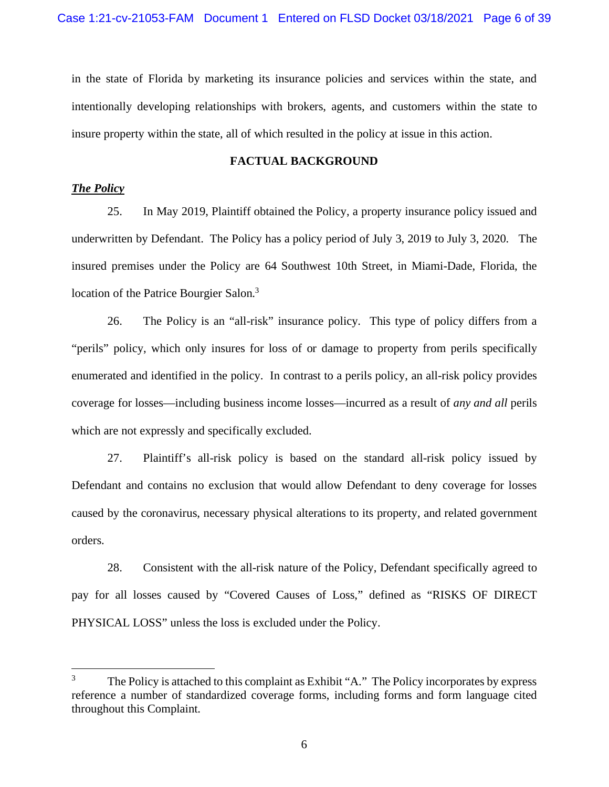in the state of Florida by marketing its insurance policies and services within the state, and intentionally developing relationships with brokers, agents, and customers within the state to insure property within the state, all of which resulted in the policy at issue in this action.

### **FACTUAL BACKGROUND**

## *The Policy*

25. In May 2019, Plaintiff obtained the Policy, a property insurance policy issued and underwritten by Defendant. The Policy has a policy period of July 3, 2019 to July 3, 2020. The insured premises under the Policy are 64 Southwest 10th Street, in Miami-Dade, Florida, the location of the Patrice Bourgier Salon.<sup>3</sup>

26. The Policy is an "all-risk" insurance policy. This type of policy differs from a "perils" policy, which only insures for loss of or damage to property from perils specifically enumerated and identified in the policy. In contrast to a perils policy, an all-risk policy provides coverage for losses—including business income losses—incurred as a result of *any and all* perils which are not expressly and specifically excluded.

27. Plaintiff's all-risk policy is based on the standard all-risk policy issued by Defendant and contains no exclusion that would allow Defendant to deny coverage for losses caused by the coronavirus, necessary physical alterations to its property, and related government orders.

28. Consistent with the all-risk nature of the Policy, Defendant specifically agreed to pay for all losses caused by "Covered Causes of Loss," defined as "RISKS OF DIRECT PHYSICAL LOSS" unless the loss is excluded under the Policy.

<sup>&</sup>lt;sup>3</sup> The Policy is attached to this complaint as Exhibit "A." The Policy incorporates by express reference a number of standardized coverage forms, including forms and form language cited throughout this Complaint.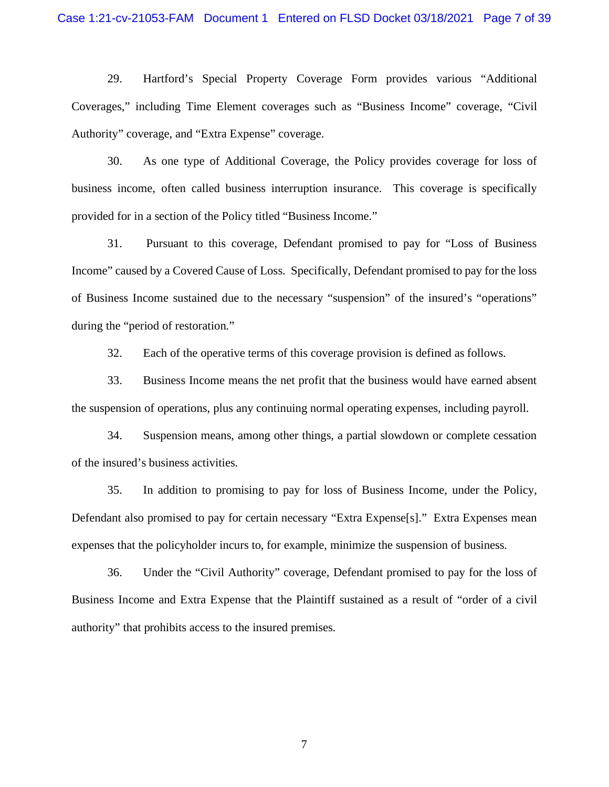29. Hartford's Special Property Coverage Form provides various "Additional Coverages," including Time Element coverages such as "Business Income" coverage, "Civil Authority" coverage, and "Extra Expense" coverage.

30. As one type of Additional Coverage, the Policy provides coverage for loss of business income, often called business interruption insurance. This coverage is specifically provided for in a section of the Policy titled "Business Income."

31. Pursuant to this coverage, Defendant promised to pay for "Loss of Business Income" caused by a Covered Cause of Loss. Specifically, Defendant promised to pay for the loss of Business Income sustained due to the necessary "suspension" of the insured's "operations" during the "period of restoration."

32. Each of the operative terms of this coverage provision is defined as follows.

33. Business Income means the net profit that the business would have earned absent the suspension of operations, plus any continuing normal operating expenses, including payroll.

34. Suspension means, among other things, a partial slowdown or complete cessation of the insured's business activities.

35. In addition to promising to pay for loss of Business Income, under the Policy, Defendant also promised to pay for certain necessary "Extra Expense[s]." Extra Expenses mean expenses that the policyholder incurs to, for example, minimize the suspension of business.

36. Under the "Civil Authority" coverage, Defendant promised to pay for the loss of Business Income and Extra Expense that the Plaintiff sustained as a result of "order of a civil authority" that prohibits access to the insured premises.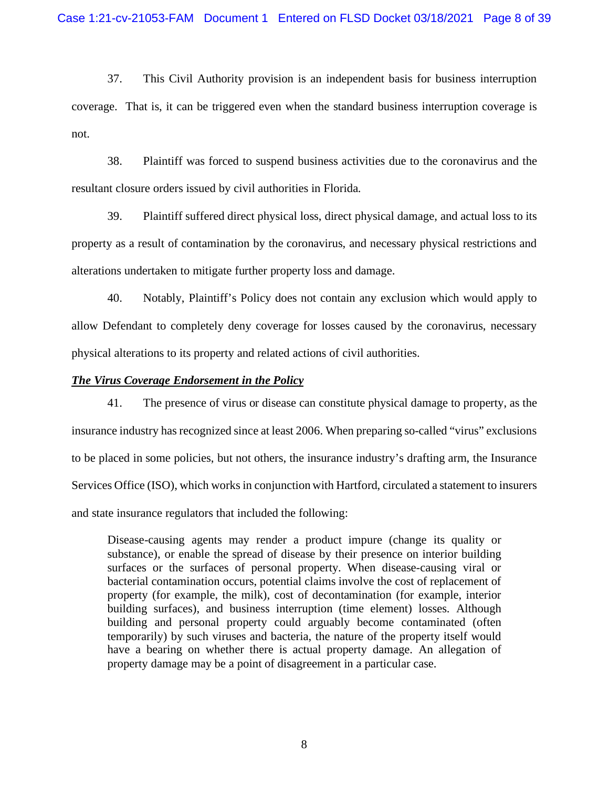37. This Civil Authority provision is an independent basis for business interruption coverage. That is, it can be triggered even when the standard business interruption coverage is not.

38. Plaintiff was forced to suspend business activities due to the coronavirus and the resultant closure orders issued by civil authorities in Florida.

39. Plaintiff suffered direct physical loss, direct physical damage, and actual loss to its property as a result of contamination by the coronavirus, and necessary physical restrictions and alterations undertaken to mitigate further property loss and damage.

40. Notably, Plaintiff's Policy does not contain any exclusion which would apply to allow Defendant to completely deny coverage for losses caused by the coronavirus, necessary physical alterations to its property and related actions of civil authorities.

#### *The Virus Coverage Endorsement in the Policy*

41. The presence of virus or disease can constitute physical damage to property, as the insurance industry has recognized since at least 2006. When preparing so-called "virus" exclusions to be placed in some policies, but not others, the insurance industry's drafting arm, the Insurance Services Office (ISO), which works in conjunction with Hartford, circulated a statement to insurers and state insurance regulators that included the following:

Disease-causing agents may render a product impure (change its quality or substance), or enable the spread of disease by their presence on interior building surfaces or the surfaces of personal property. When disease-causing viral or bacterial contamination occurs, potential claims involve the cost of replacement of property (for example, the milk), cost of decontamination (for example, interior building surfaces), and business interruption (time element) losses. Although building and personal property could arguably become contaminated (often temporarily) by such viruses and bacteria, the nature of the property itself would have a bearing on whether there is actual property damage. An allegation of property damage may be a point of disagreement in a particular case.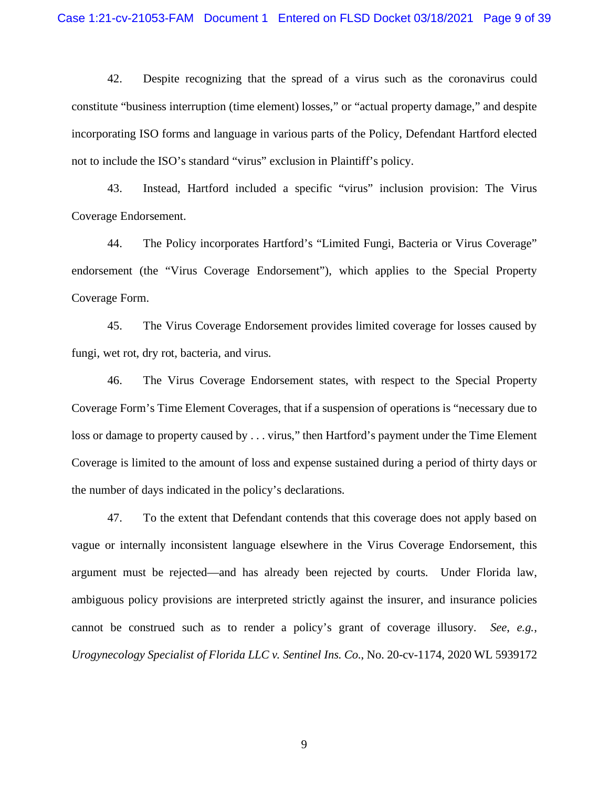42. Despite recognizing that the spread of a virus such as the coronavirus could constitute "business interruption (time element) losses," or "actual property damage," and despite incorporating ISO forms and language in various parts of the Policy, Defendant Hartford elected not to include the ISO's standard "virus" exclusion in Plaintiff's policy.

43. Instead, Hartford included a specific "virus" inclusion provision: The Virus Coverage Endorsement.

44. The Policy incorporates Hartford's "Limited Fungi, Bacteria or Virus Coverage" endorsement (the "Virus Coverage Endorsement"), which applies to the Special Property Coverage Form.

45. The Virus Coverage Endorsement provides limited coverage for losses caused by fungi, wet rot, dry rot, bacteria, and virus.

46. The Virus Coverage Endorsement states, with respect to the Special Property Coverage Form's Time Element Coverages, that if a suspension of operations is "necessary due to loss or damage to property caused by . . . virus," then Hartford's payment under the Time Element Coverage is limited to the amount of loss and expense sustained during a period of thirty days or the number of days indicated in the policy's declarations.

47. To the extent that Defendant contends that this coverage does not apply based on vague or internally inconsistent language elsewhere in the Virus Coverage Endorsement, this argument must be rejected—and has already been rejected by courts. Under Florida law, ambiguous policy provisions are interpreted strictly against the insurer, and insurance policies cannot be construed such as to render a policy's grant of coverage illusory. *See*, *e.g.*, *Urogynecology Specialist of Florida LLC v. Sentinel Ins. Co.*, No. 20-cv-1174, 2020 WL 5939172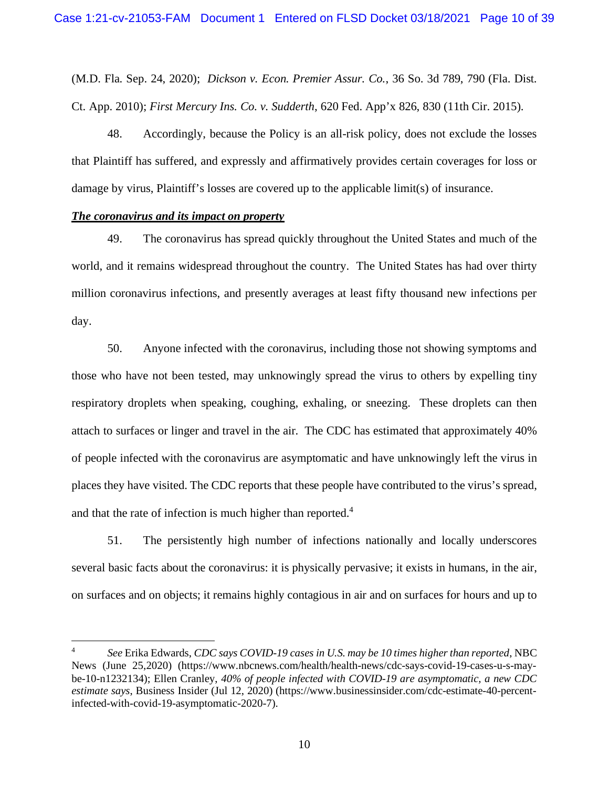(M.D. Fla. Sep. 24, 2020); *Dickson v. Econ. Premier Assur. Co.*, 36 So. 3d 789, 790 (Fla. Dist. Ct. App. 2010); *First Mercury Ins. Co. v. Sudderth*, 620 Fed. App'x 826, 830 (11th Cir. 2015).

48. Accordingly, because the Policy is an all-risk policy, does not exclude the losses that Plaintiff has suffered, and expressly and affirmatively provides certain coverages for loss or damage by virus, Plaintiff's losses are covered up to the applicable limit(s) of insurance.

### *The coronavirus and its impact on property*

49. The coronavirus has spread quickly throughout the United States and much of the world, and it remains widespread throughout the country. The United States has had over thirty million coronavirus infections, and presently averages at least fifty thousand new infections per day.

50. Anyone infected with the coronavirus, including those not showing symptoms and those who have not been tested, may unknowingly spread the virus to others by expelling tiny respiratory droplets when speaking, coughing, exhaling, or sneezing. These droplets can then attach to surfaces or linger and travel in the air. The CDC has estimated that approximately 40% of people infected with the coronavirus are asymptomatic and have unknowingly left the virus in places they have visited. The CDC reports that these people have contributed to the virus's spread, and that the rate of infection is much higher than reported.<sup>4</sup>

51. The persistently high number of infections nationally and locally underscores several basic facts about the coronavirus: it is physically pervasive; it exists in humans, in the air, on surfaces and on objects; it remains highly contagious in air and on surfaces for hours and up to

<sup>4</sup> *See* Erika Edwards, *CDC says COVID-19 cases in U.S. may be 10 times higher than reported*, NBC News (June 25,2020) (https://www.nbcnews.com/health/health-news/cdc-says-covid-19-cases-u-s-maybe-10-n1232134); Ellen Cranley, *40% of people infected with COVID-19 are asymptomatic, a new CDC estimate says*, Business Insider (Jul 12, 2020) (https://www.businessinsider.com/cdc-estimate-40-percentinfected-with-covid-19-asymptomatic-2020-7).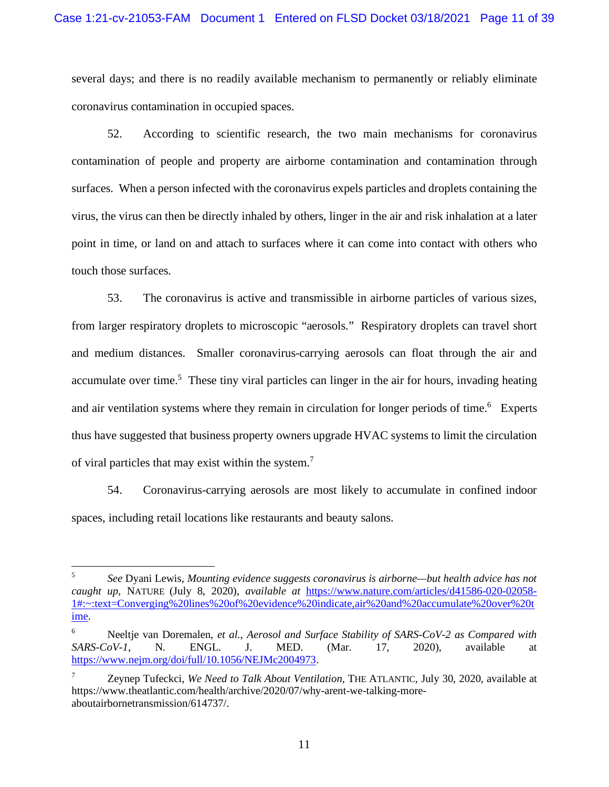several days; and there is no readily available mechanism to permanently or reliably eliminate coronavirus contamination in occupied spaces.

52. According to scientific research, the two main mechanisms for coronavirus contamination of people and property are airborne contamination and contamination through surfaces. When a person infected with the coronavirus expels particles and droplets containing the virus, the virus can then be directly inhaled by others, linger in the air and risk inhalation at a later point in time, or land on and attach to surfaces where it can come into contact with others who touch those surfaces.

53. The coronavirus is active and transmissible in airborne particles of various sizes, from larger respiratory droplets to microscopic "aerosols." Respiratory droplets can travel short and medium distances. Smaller coronavirus-carrying aerosols can float through the air and accumulate over time.<sup>5</sup> These tiny viral particles can linger in the air for hours, invading heating and air ventilation systems where they remain in circulation for longer periods of time.<sup>6</sup> Experts thus have suggested that business property owners upgrade HVAC systems to limit the circulation of viral particles that may exist within the system.<sup>7</sup>

54. Coronavirus-carrying aerosols are most likely to accumulate in confined indoor spaces, including retail locations like restaurants and beauty salons.

<sup>5</sup> *See* Dyani Lewis, *Mounting evidence suggests coronavirus is airborne—but health advice has not caught up*, NATURE (July 8, 2020), *available at* https://www.nature.com/articles/d41586-020-02058- 1#:~:text=Converging%20lines%20of%20evidence%20indicate,air%20and%20accumulate%20over%20t ime.

<sup>6</sup> Neeltje van Doremalen, *et al.*, *Aerosol and Surface Stability of SARS-CoV-2 as Compared with SARS-CoV-1*, N. ENGL. J. MED. (Mar. 17, 2020), available at https://www.nejm.org/doi/full/10.1056/NEJMc2004973.

<sup>7</sup> Zeynep Tufeckci, *We Need to Talk About Ventilation*, THE ATLANTIC, July 30, 2020, available at https://www.theatlantic.com/health/archive/2020/07/why-arent-we-talking-moreaboutairbornetransmission/614737/.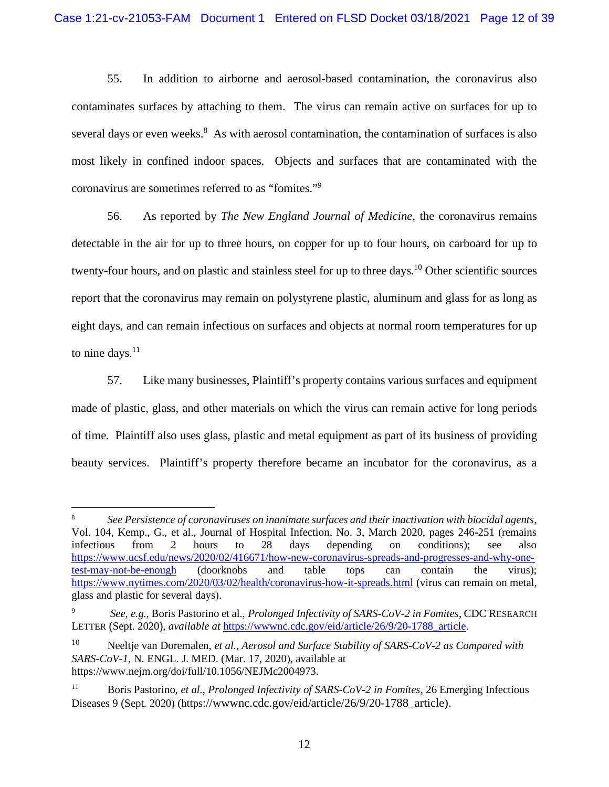55. In addition to airborne and aerosol-based contamination, the coronavirus also contaminates surfaces by attaching to them. The virus can remain active on surfaces for up to several days or even weeks.<sup>8</sup> As with aerosol contamination, the contamination of surfaces is also most likely in confined indoor spaces. Objects and surfaces that are contaminated with the coronavirus are sometimes referred to as "fomites."<sup>9</sup>

56. As reported by *The New England Journal of Medicine*, the coronavirus remains detectable in the air for up to three hours, on copper for up to four hours, on carboard for up to twenty-four hours, and on plastic and stainless steel for up to three days.<sup>10</sup> Other scientific sources report that the coronavirus may remain on polystyrene plastic, aluminum and glass for as long as eight days, and can remain infectious on surfaces and objects at normal room temperatures for up to nine days. $11$ 

57. Like many businesses, Plaintiff's property contains various surfaces and equipment made of plastic, glass, and other materials on which the virus can remain active for long periods of time. Plaintiff also uses glass, plastic and metal equipment as part of its business of providing beauty services. Plaintiff's property therefore became an incubator for the coronavirus, as a

<sup>8</sup> *See Persistence of coronaviruses on inanimate surfaces and their inactivation with biocidal agents*, Vol. 104, Kemp., G., et al., Journal of Hospital Infection, No. 3, March 2020, pages 246-251 (remains infectious from 2 hours to 28 days depending on conditions); see also https://www.ucsf.edu/news/2020/02/416671/how-new-coronavirus-spreads-and-progresses-and-why-onetest-may-not-be-enough (doorknobs and table tops can contain the virus); https://www.nytimes.com/2020/03/02/health/coronavirus-how-it-spreads.html (virus can remain on metal, glass and plastic for several days).

<sup>9</sup> *See*, *e.g.*, Boris Pastorino et al., *Prolonged Infectivity of SARS-CoV-2 in Fomites*, CDC RESEARCH LETTER (Sept. 2020), *available at* https://wwwnc.cdc.gov/eid/article/26/9/20-1788\_article.

<sup>10</sup> Neeltje van Doremalen, *et al.*, *Aerosol and Surface Stability of SARS-CoV-2 as Compared with SARS-CoV-1*, N. ENGL. J. MED. (Mar. 17, 2020), available at https://www.nejm.org/doi/full/10.1056/NEJMc2004973.

<sup>11</sup> Boris Pastorino, *et al*., *Prolonged Infectivity of SARS-CoV-2 in Fomites*, 26 Emerging Infectious Diseases 9 (Sept. 2020) (https://wwwnc.cdc.gov/eid/article/26/9/20-1788\_article).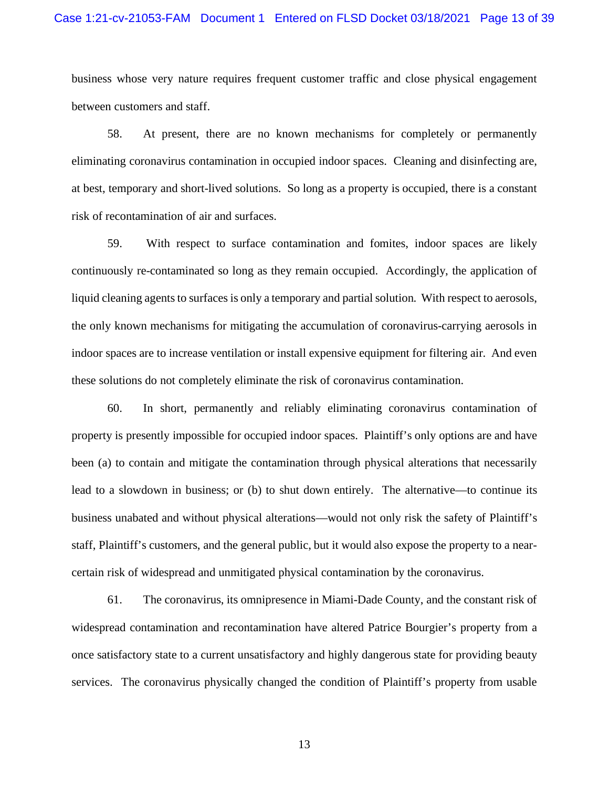business whose very nature requires frequent customer traffic and close physical engagement between customers and staff.

58. At present, there are no known mechanisms for completely or permanently eliminating coronavirus contamination in occupied indoor spaces. Cleaning and disinfecting are, at best, temporary and short-lived solutions. So long as a property is occupied, there is a constant risk of recontamination of air and surfaces.

59. With respect to surface contamination and fomites, indoor spaces are likely continuously re-contaminated so long as they remain occupied. Accordingly, the application of liquid cleaning agents to surfaces is only a temporary and partial solution. With respect to aerosols, the only known mechanisms for mitigating the accumulation of coronavirus-carrying aerosols in indoor spaces are to increase ventilation or install expensive equipment for filtering air. And even these solutions do not completely eliminate the risk of coronavirus contamination.

60. In short, permanently and reliably eliminating coronavirus contamination of property is presently impossible for occupied indoor spaces. Plaintiff's only options are and have been (a) to contain and mitigate the contamination through physical alterations that necessarily lead to a slowdown in business; or (b) to shut down entirely. The alternative—to continue its business unabated and without physical alterations—would not only risk the safety of Plaintiff's staff, Plaintiff's customers, and the general public, but it would also expose the property to a nearcertain risk of widespread and unmitigated physical contamination by the coronavirus.

61. The coronavirus, its omnipresence in Miami-Dade County, and the constant risk of widespread contamination and recontamination have altered Patrice Bourgier's property from a once satisfactory state to a current unsatisfactory and highly dangerous state for providing beauty services. The coronavirus physically changed the condition of Plaintiff's property from usable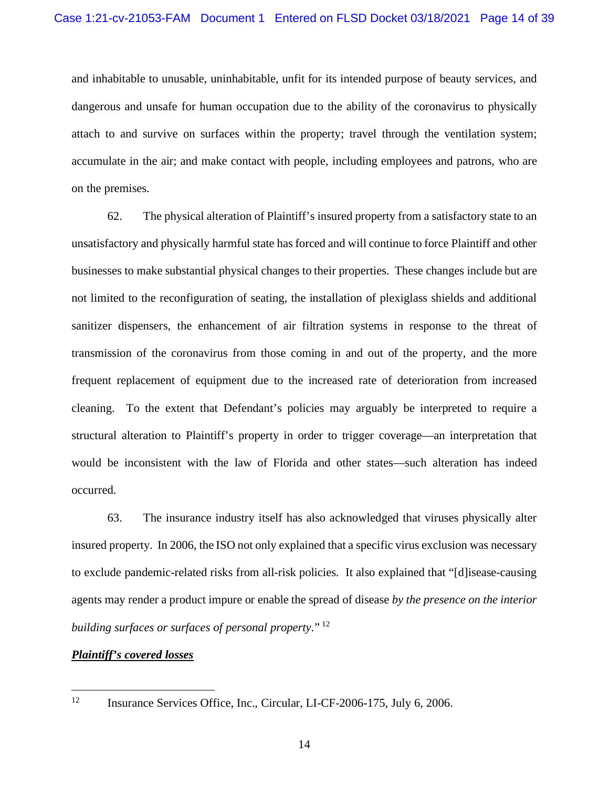and inhabitable to unusable, uninhabitable, unfit for its intended purpose of beauty services, and dangerous and unsafe for human occupation due to the ability of the coronavirus to physically attach to and survive on surfaces within the property; travel through the ventilation system; accumulate in the air; and make contact with people, including employees and patrons, who are on the premises.

62. The physical alteration of Plaintiff's insured property from a satisfactory state to an unsatisfactory and physically harmful state has forced and will continue to force Plaintiff and other businesses to make substantial physical changes to their properties. These changes include but are not limited to the reconfiguration of seating, the installation of plexiglass shields and additional sanitizer dispensers, the enhancement of air filtration systems in response to the threat of transmission of the coronavirus from those coming in and out of the property, and the more frequent replacement of equipment due to the increased rate of deterioration from increased cleaning. To the extent that Defendant's policies may arguably be interpreted to require a structural alteration to Plaintiff's property in order to trigger coverage—an interpretation that would be inconsistent with the law of Florida and other states—such alteration has indeed occurred.

63. The insurance industry itself has also acknowledged that viruses physically alter insured property. In 2006, the ISO not only explained that a specific virus exclusion was necessary to exclude pandemic-related risks from all-risk policies. It also explained that "[d]isease-causing agents may render a product impure or enable the spread of disease *by the presence on the interior building surfaces or surfaces of personal property*." <sup>12</sup>

#### *Plaintiff's covered losses*

<sup>&</sup>lt;sup>12</sup> Insurance Services Office, Inc., Circular, LI-CF-2006-175, July 6, 2006.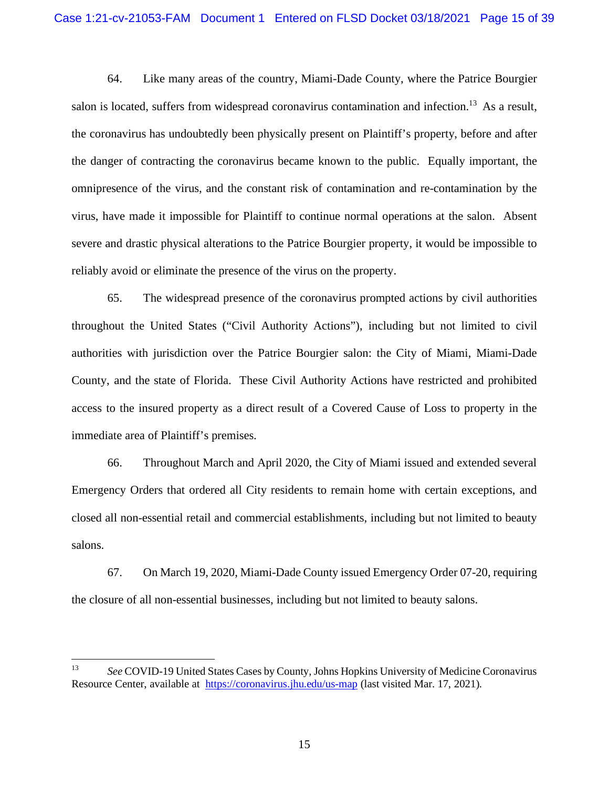64. Like many areas of the country, Miami-Dade County, where the Patrice Bourgier salon is located, suffers from widespread coronavirus contamination and infection.<sup>13</sup> As a result, the coronavirus has undoubtedly been physically present on Plaintiff's property, before and after the danger of contracting the coronavirus became known to the public. Equally important, the omnipresence of the virus, and the constant risk of contamination and re-contamination by the virus, have made it impossible for Plaintiff to continue normal operations at the salon. Absent severe and drastic physical alterations to the Patrice Bourgier property, it would be impossible to reliably avoid or eliminate the presence of the virus on the property.

65. The widespread presence of the coronavirus prompted actions by civil authorities throughout the United States ("Civil Authority Actions"), including but not limited to civil authorities with jurisdiction over the Patrice Bourgier salon: the City of Miami, Miami-Dade County, and the state of Florida. These Civil Authority Actions have restricted and prohibited access to the insured property as a direct result of a Covered Cause of Loss to property in the immediate area of Plaintiff's premises.

66. Throughout March and April 2020, the City of Miami issued and extended several Emergency Orders that ordered all City residents to remain home with certain exceptions, and closed all non-essential retail and commercial establishments, including but not limited to beauty salons.

67. On March 19, 2020, Miami-Dade County issued Emergency Order 07-20, requiring the closure of all non-essential businesses, including but not limited to beauty salons.

<sup>13</sup> *See* COVID-19 United States Cases by County, Johns Hopkins University of Medicine Coronavirus Resource Center, available at https://coronavirus.jhu.edu/us-map (last visited Mar. 17, 2021).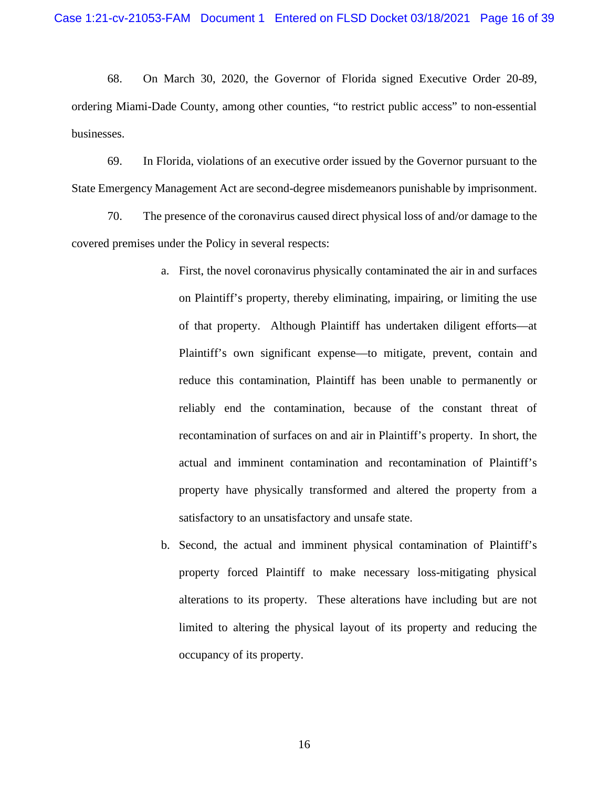68. On March 30, 2020, the Governor of Florida signed Executive Order 20-89, ordering Miami-Dade County, among other counties, "to restrict public access" to non-essential businesses.

69. In Florida, violations of an executive order issued by the Governor pursuant to the State Emergency Management Act are second-degree misdemeanors punishable by imprisonment.

70. The presence of the coronavirus caused direct physical loss of and/or damage to the covered premises under the Policy in several respects:

- a. First, the novel coronavirus physically contaminated the air in and surfaces on Plaintiff's property, thereby eliminating, impairing, or limiting the use of that property. Although Plaintiff has undertaken diligent efforts—at Plaintiff's own significant expense—to mitigate, prevent, contain and reduce this contamination, Plaintiff has been unable to permanently or reliably end the contamination, because of the constant threat of recontamination of surfaces on and air in Plaintiff's property. In short, the actual and imminent contamination and recontamination of Plaintiff's property have physically transformed and altered the property from a satisfactory to an unsatisfactory and unsafe state.
- b. Second, the actual and imminent physical contamination of Plaintiff's property forced Plaintiff to make necessary loss-mitigating physical alterations to its property. These alterations have including but are not limited to altering the physical layout of its property and reducing the occupancy of its property.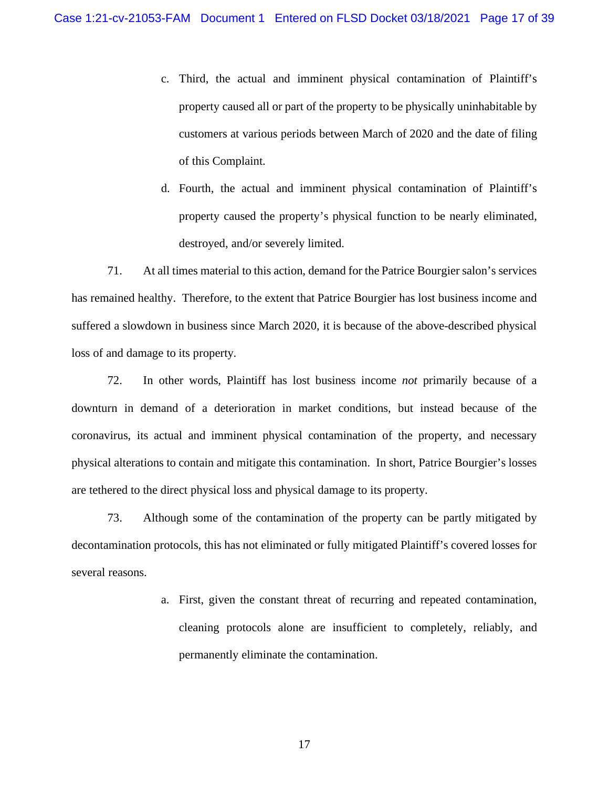- c. Third, the actual and imminent physical contamination of Plaintiff's property caused all or part of the property to be physically uninhabitable by customers at various periods between March of 2020 and the date of filing of this Complaint.
- d. Fourth, the actual and imminent physical contamination of Plaintiff's property caused the property's physical function to be nearly eliminated, destroyed, and/or severely limited.

71. At all times material to this action, demand for the Patrice Bourgier salon's services has remained healthy. Therefore, to the extent that Patrice Bourgier has lost business income and suffered a slowdown in business since March 2020, it is because of the above-described physical loss of and damage to its property.

72. In other words, Plaintiff has lost business income *not* primarily because of a downturn in demand of a deterioration in market conditions, but instead because of the coronavirus, its actual and imminent physical contamination of the property, and necessary physical alterations to contain and mitigate this contamination. In short, Patrice Bourgier's losses are tethered to the direct physical loss and physical damage to its property.

73. Although some of the contamination of the property can be partly mitigated by decontamination protocols, this has not eliminated or fully mitigated Plaintiff's covered losses for several reasons.

> a. First, given the constant threat of recurring and repeated contamination, cleaning protocols alone are insufficient to completely, reliably, and permanently eliminate the contamination.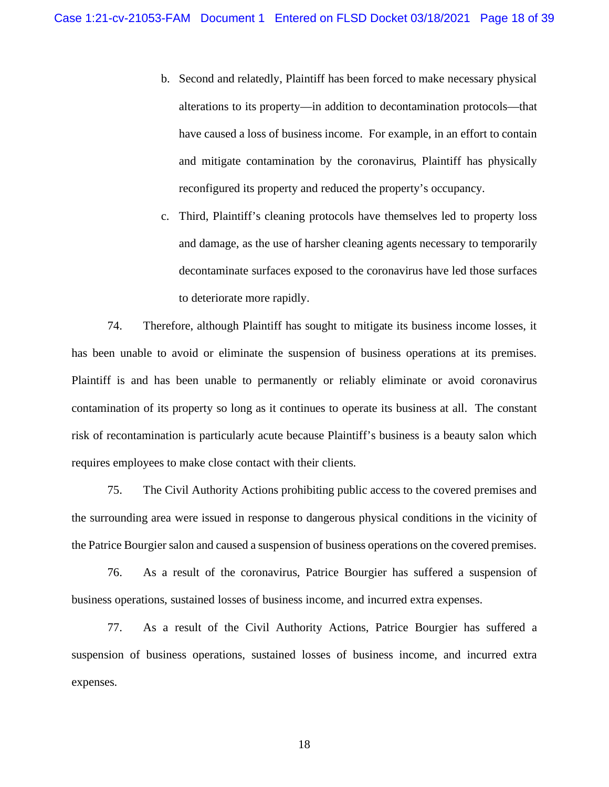b. Second and relatedly, Plaintiff has been forced to make necessary physical alterations to its property—in addition to decontamination protocols—that have caused a loss of business income. For example, in an effort to contain and mitigate contamination by the coronavirus, Plaintiff has physically reconfigured its property and reduced the property's occupancy.

c. Third, Plaintiff's cleaning protocols have themselves led to property loss and damage, as the use of harsher cleaning agents necessary to temporarily decontaminate surfaces exposed to the coronavirus have led those surfaces to deteriorate more rapidly.

74. Therefore, although Plaintiff has sought to mitigate its business income losses, it has been unable to avoid or eliminate the suspension of business operations at its premises. Plaintiff is and has been unable to permanently or reliably eliminate or avoid coronavirus contamination of its property so long as it continues to operate its business at all. The constant risk of recontamination is particularly acute because Plaintiff's business is a beauty salon which requires employees to make close contact with their clients.

75. The Civil Authority Actions prohibiting public access to the covered premises and the surrounding area were issued in response to dangerous physical conditions in the vicinity of the Patrice Bourgier salon and caused a suspension of business operations on the covered premises.

76. As a result of the coronavirus, Patrice Bourgier has suffered a suspension of business operations, sustained losses of business income, and incurred extra expenses.

77. As a result of the Civil Authority Actions, Patrice Bourgier has suffered a suspension of business operations, sustained losses of business income, and incurred extra expenses.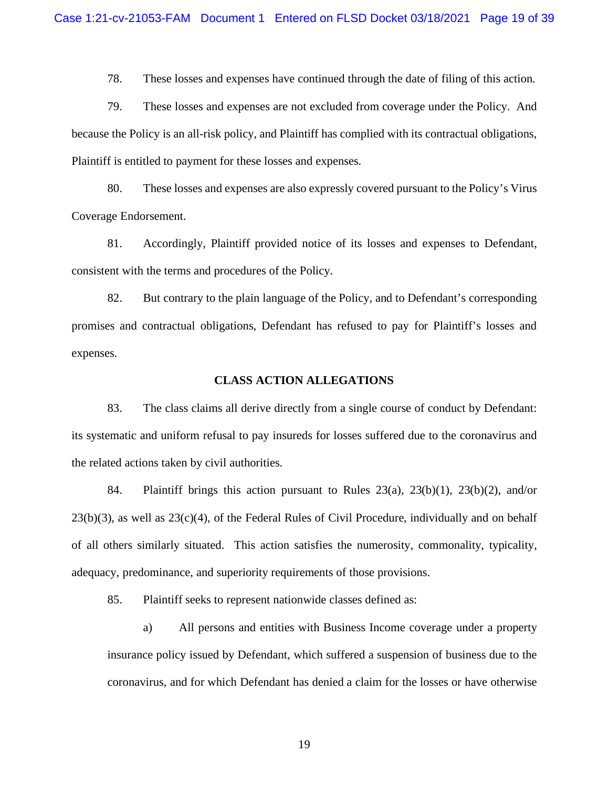78. These losses and expenses have continued through the date of filing of this action.

79. These losses and expenses are not excluded from coverage under the Policy. And because the Policy is an all-risk policy, and Plaintiff has complied with its contractual obligations, Plaintiff is entitled to payment for these losses and expenses.

80. These losses and expenses are also expressly covered pursuant to the Policy's Virus Coverage Endorsement.

81. Accordingly, Plaintiff provided notice of its losses and expenses to Defendant, consistent with the terms and procedures of the Policy.

82. But contrary to the plain language of the Policy, and to Defendant's corresponding promises and contractual obligations, Defendant has refused to pay for Plaintiff's losses and expenses.

#### **CLASS ACTION ALLEGATIONS**

83. The class claims all derive directly from a single course of conduct by Defendant: its systematic and uniform refusal to pay insureds for losses suffered due to the coronavirus and the related actions taken by civil authorities.

84. Plaintiff brings this action pursuant to Rules 23(a), 23(b)(1), 23(b)(2), and/or 23(b)(3), as well as 23(c)(4), of the Federal Rules of Civil Procedure, individually and on behalf of all others similarly situated. This action satisfies the numerosity, commonality, typicality, adequacy, predominance, and superiority requirements of those provisions.

85. Plaintiff seeks to represent nationwide classes defined as:

a) All persons and entities with Business Income coverage under a property insurance policy issued by Defendant, which suffered a suspension of business due to the coronavirus, and for which Defendant has denied a claim for the losses or have otherwise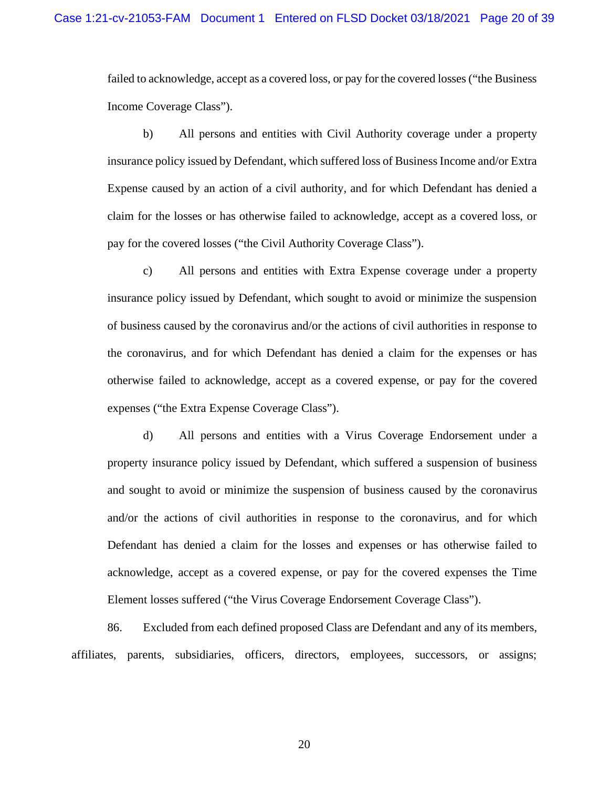failed to acknowledge, accept as a covered loss, or pay for the covered losses ("the Business Income Coverage Class").

b) All persons and entities with Civil Authority coverage under a property insurance policy issued by Defendant, which suffered loss of Business Income and/or Extra Expense caused by an action of a civil authority, and for which Defendant has denied a claim for the losses or has otherwise failed to acknowledge, accept as a covered loss, or pay for the covered losses ("the Civil Authority Coverage Class").

c) All persons and entities with Extra Expense coverage under a property insurance policy issued by Defendant, which sought to avoid or minimize the suspension of business caused by the coronavirus and/or the actions of civil authorities in response to the coronavirus, and for which Defendant has denied a claim for the expenses or has otherwise failed to acknowledge, accept as a covered expense, or pay for the covered expenses ("the Extra Expense Coverage Class").

d) All persons and entities with a Virus Coverage Endorsement under a property insurance policy issued by Defendant, which suffered a suspension of business and sought to avoid or minimize the suspension of business caused by the coronavirus and/or the actions of civil authorities in response to the coronavirus, and for which Defendant has denied a claim for the losses and expenses or has otherwise failed to acknowledge, accept as a covered expense, or pay for the covered expenses the Time Element losses suffered ("the Virus Coverage Endorsement Coverage Class").

86. Excluded from each defined proposed Class are Defendant and any of its members, affiliates, parents, subsidiaries, officers, directors, employees, successors, or assigns;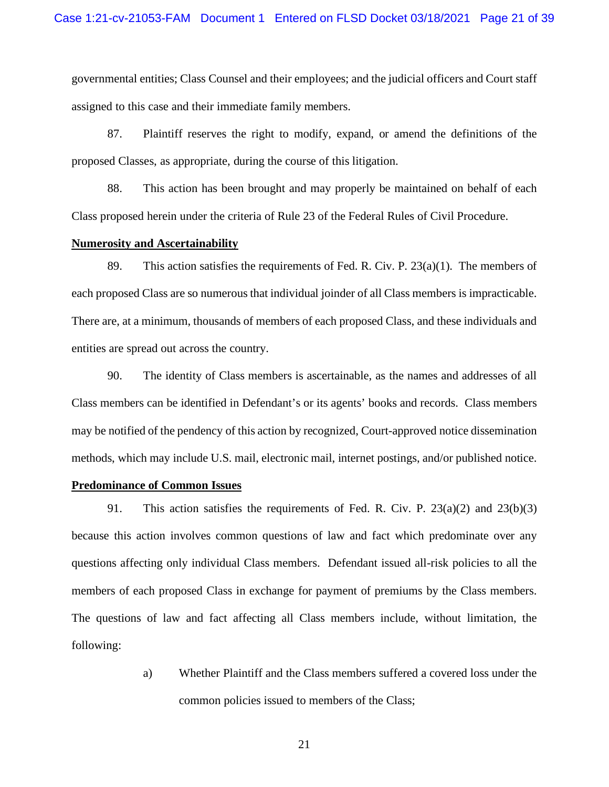governmental entities; Class Counsel and their employees; and the judicial officers and Court staff assigned to this case and their immediate family members.

87. Plaintiff reserves the right to modify, expand, or amend the definitions of the proposed Classes, as appropriate, during the course of this litigation.

88. This action has been brought and may properly be maintained on behalf of each Class proposed herein under the criteria of Rule 23 of the Federal Rules of Civil Procedure.

#### **Numerosity and Ascertainability**

89. This action satisfies the requirements of Fed. R. Civ. P.  $23(a)(1)$ . The members of each proposed Class are so numerous that individual joinder of all Class members is impracticable. There are, at a minimum, thousands of members of each proposed Class, and these individuals and entities are spread out across the country.

90. The identity of Class members is ascertainable, as the names and addresses of all Class members can be identified in Defendant's or its agents' books and records. Class members may be notified of the pendency of this action by recognized, Court-approved notice dissemination methods, which may include U.S. mail, electronic mail, internet postings, and/or published notice.

#### **Predominance of Common Issues**

91. This action satisfies the requirements of Fed. R. Civ. P. 23(a)(2) and 23(b)(3) because this action involves common questions of law and fact which predominate over any questions affecting only individual Class members. Defendant issued all-risk policies to all the members of each proposed Class in exchange for payment of premiums by the Class members. The questions of law and fact affecting all Class members include, without limitation, the following:

> a) Whether Plaintiff and the Class members suffered a covered loss under the common policies issued to members of the Class;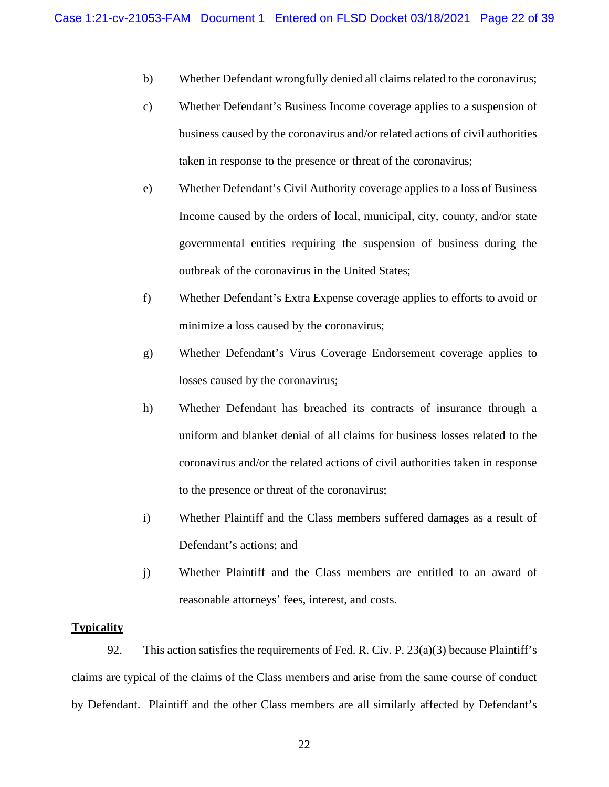- b) Whether Defendant wrongfully denied all claims related to the coronavirus;
- c) Whether Defendant's Business Income coverage applies to a suspension of business caused by the coronavirus and/or related actions of civil authorities taken in response to the presence or threat of the coronavirus;
- e) Whether Defendant's Civil Authority coverage applies to a loss of Business Income caused by the orders of local, municipal, city, county, and/or state governmental entities requiring the suspension of business during the outbreak of the coronavirus in the United States;
- f) Whether Defendant's Extra Expense coverage applies to efforts to avoid or minimize a loss caused by the coronavirus;
- g) Whether Defendant's Virus Coverage Endorsement coverage applies to losses caused by the coronavirus;
- h) Whether Defendant has breached its contracts of insurance through a uniform and blanket denial of all claims for business losses related to the coronavirus and/or the related actions of civil authorities taken in response to the presence or threat of the coronavirus;
- i) Whether Plaintiff and the Class members suffered damages as a result of Defendant's actions; and
- j) Whether Plaintiff and the Class members are entitled to an award of reasonable attorneys' fees, interest, and costs.

#### **Typicality**

92. This action satisfies the requirements of Fed. R. Civ. P. 23(a)(3) because Plaintiff's claims are typical of the claims of the Class members and arise from the same course of conduct by Defendant. Plaintiff and the other Class members are all similarly affected by Defendant's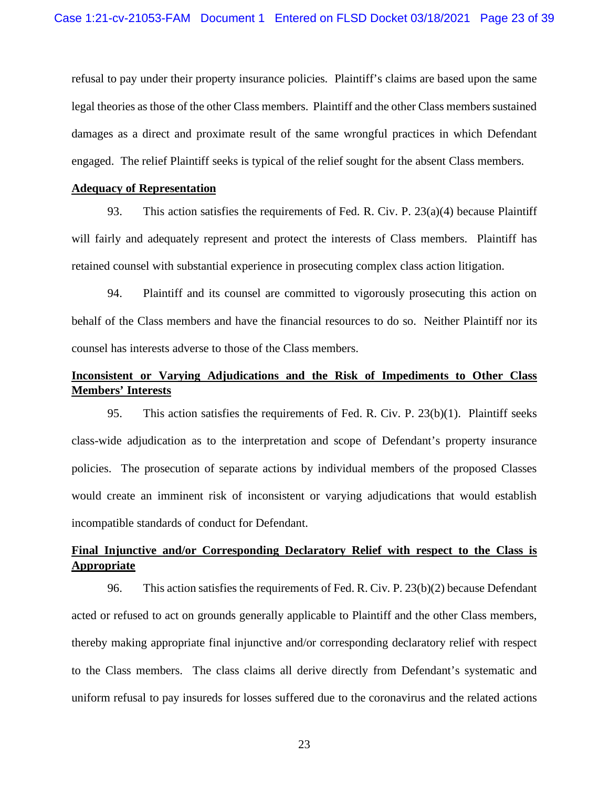refusal to pay under their property insurance policies. Plaintiff's claims are based upon the same legal theories as those of the other Class members. Plaintiff and the other Class members sustained damages as a direct and proximate result of the same wrongful practices in which Defendant engaged. The relief Plaintiff seeks is typical of the relief sought for the absent Class members.

### **Adequacy of Representation**

93. This action satisfies the requirements of Fed. R. Civ. P.  $23(a)(4)$  because Plaintiff will fairly and adequately represent and protect the interests of Class members. Plaintiff has retained counsel with substantial experience in prosecuting complex class action litigation.

94. Plaintiff and its counsel are committed to vigorously prosecuting this action on behalf of the Class members and have the financial resources to do so. Neither Plaintiff nor its counsel has interests adverse to those of the Class members.

# **Inconsistent or Varying Adjudications and the Risk of Impediments to Other Class Members' Interests**

95. This action satisfies the requirements of Fed. R. Civ. P. 23(b)(1). Plaintiff seeks class-wide adjudication as to the interpretation and scope of Defendant's property insurance policies. The prosecution of separate actions by individual members of the proposed Classes would create an imminent risk of inconsistent or varying adjudications that would establish incompatible standards of conduct for Defendant.

# **Final Injunctive and/or Corresponding Declaratory Relief with respect to the Class is Appropriate**

96. This action satisfies the requirements of Fed. R. Civ. P. 23(b)(2) because Defendant acted or refused to act on grounds generally applicable to Plaintiff and the other Class members, thereby making appropriate final injunctive and/or corresponding declaratory relief with respect to the Class members. The class claims all derive directly from Defendant's systematic and uniform refusal to pay insureds for losses suffered due to the coronavirus and the related actions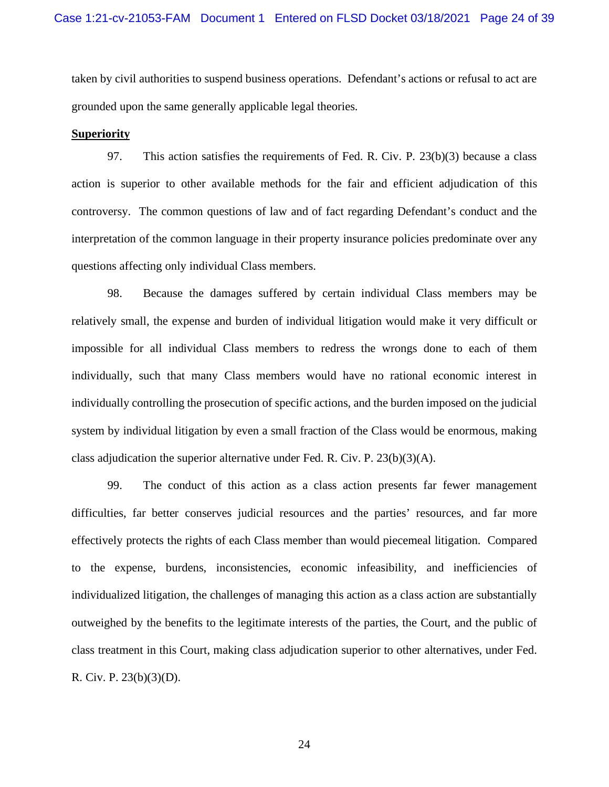taken by civil authorities to suspend business operations. Defendant's actions or refusal to act are grounded upon the same generally applicable legal theories.

#### **Superiority**

97. This action satisfies the requirements of Fed. R. Civ. P. 23(b)(3) because a class action is superior to other available methods for the fair and efficient adjudication of this controversy. The common questions of law and of fact regarding Defendant's conduct and the interpretation of the common language in their property insurance policies predominate over any questions affecting only individual Class members.

98. Because the damages suffered by certain individual Class members may be relatively small, the expense and burden of individual litigation would make it very difficult or impossible for all individual Class members to redress the wrongs done to each of them individually, such that many Class members would have no rational economic interest in individually controlling the prosecution of specific actions, and the burden imposed on the judicial system by individual litigation by even a small fraction of the Class would be enormous, making class adjudication the superior alternative under Fed. R. Civ. P. 23(b)(3)(A).

99. The conduct of this action as a class action presents far fewer management difficulties, far better conserves judicial resources and the parties' resources, and far more effectively protects the rights of each Class member than would piecemeal litigation. Compared to the expense, burdens, inconsistencies, economic infeasibility, and inefficiencies of individualized litigation, the challenges of managing this action as a class action are substantially outweighed by the benefits to the legitimate interests of the parties, the Court, and the public of class treatment in this Court, making class adjudication superior to other alternatives, under Fed. R. Civ. P. 23(b)(3)(D).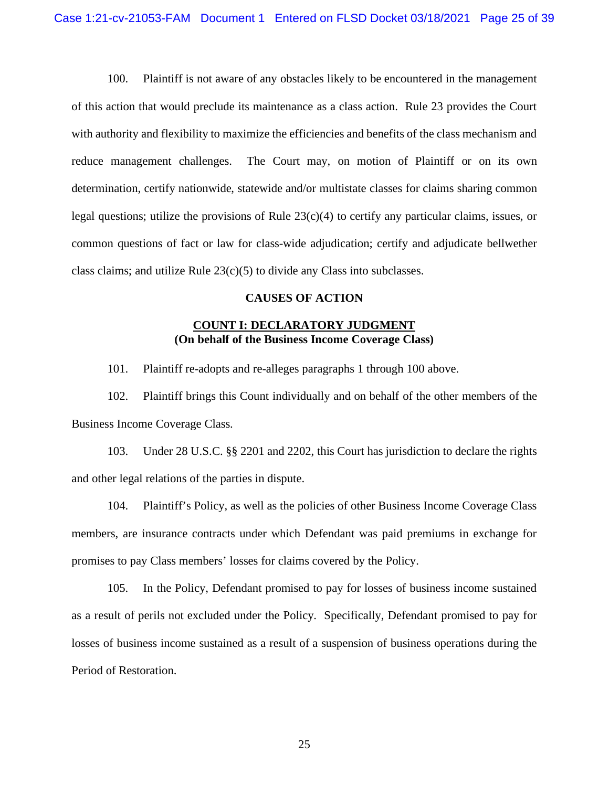100. Plaintiff is not aware of any obstacles likely to be encountered in the management of this action that would preclude its maintenance as a class action. Rule 23 provides the Court with authority and flexibility to maximize the efficiencies and benefits of the class mechanism and reduce management challenges. The Court may, on motion of Plaintiff or on its own determination, certify nationwide, statewide and/or multistate classes for claims sharing common legal questions; utilize the provisions of Rule 23(c)(4) to certify any particular claims, issues, or common questions of fact or law for class-wide adjudication; certify and adjudicate bellwether class claims; and utilize Rule  $23(c)(5)$  to divide any Class into subclasses.

### **CAUSES OF ACTION**

### **COUNT I: DECLARATORY JUDGMENT (On behalf of the Business Income Coverage Class)**

101. Plaintiff re-adopts and re-alleges paragraphs 1 through 100 above.

102. Plaintiff brings this Count individually and on behalf of the other members of the Business Income Coverage Class.

103. Under 28 U.S.C. §§ 2201 and 2202, this Court has jurisdiction to declare the rights and other legal relations of the parties in dispute.

104. Plaintiff's Policy, as well as the policies of other Business Income Coverage Class members, are insurance contracts under which Defendant was paid premiums in exchange for promises to pay Class members' losses for claims covered by the Policy.

105. In the Policy, Defendant promised to pay for losses of business income sustained as a result of perils not excluded under the Policy. Specifically, Defendant promised to pay for losses of business income sustained as a result of a suspension of business operations during the Period of Restoration.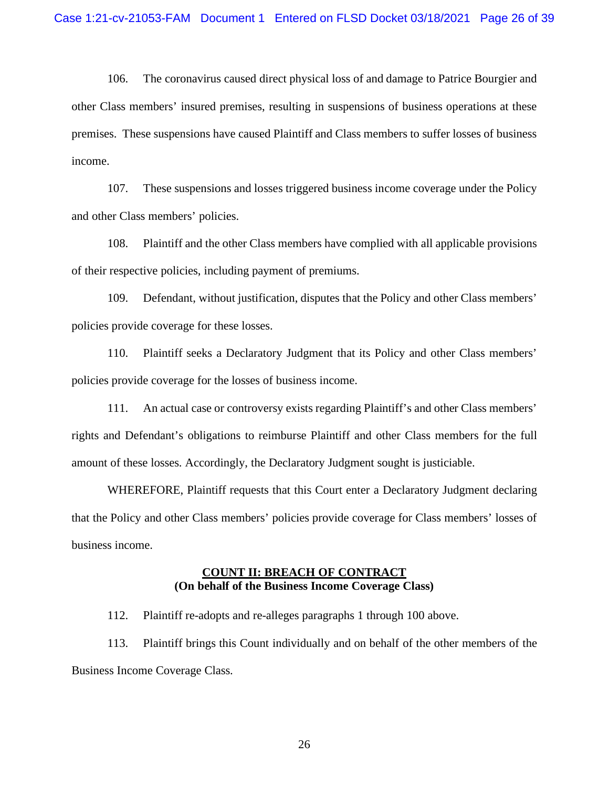106. The coronavirus caused direct physical loss of and damage to Patrice Bourgier and other Class members' insured premises, resulting in suspensions of business operations at these premises. These suspensions have caused Plaintiff and Class members to suffer losses of business income.

107. These suspensions and losses triggered business income coverage under the Policy and other Class members' policies.

108. Plaintiff and the other Class members have complied with all applicable provisions of their respective policies, including payment of premiums.

109. Defendant, without justification, disputes that the Policy and other Class members' policies provide coverage for these losses.

110. Plaintiff seeks a Declaratory Judgment that its Policy and other Class members' policies provide coverage for the losses of business income.

111. An actual case or controversy exists regarding Plaintiff's and other Class members' rights and Defendant's obligations to reimburse Plaintiff and other Class members for the full amount of these losses. Accordingly, the Declaratory Judgment sought is justiciable.

WHEREFORE, Plaintiff requests that this Court enter a Declaratory Judgment declaring that the Policy and other Class members' policies provide coverage for Class members' losses of business income.

### **COUNT II: BREACH OF CONTRACT (On behalf of the Business Income Coverage Class)**

112. Plaintiff re-adopts and re-alleges paragraphs 1 through 100 above.

113. Plaintiff brings this Count individually and on behalf of the other members of the Business Income Coverage Class.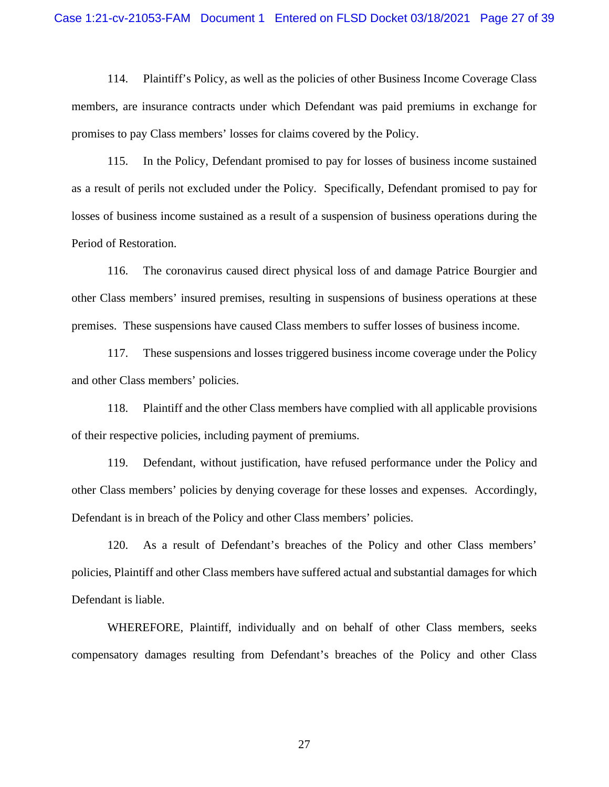114. Plaintiff's Policy, as well as the policies of other Business Income Coverage Class members, are insurance contracts under which Defendant was paid premiums in exchange for promises to pay Class members' losses for claims covered by the Policy.

115. In the Policy, Defendant promised to pay for losses of business income sustained as a result of perils not excluded under the Policy. Specifically, Defendant promised to pay for losses of business income sustained as a result of a suspension of business operations during the Period of Restoration.

116. The coronavirus caused direct physical loss of and damage Patrice Bourgier and other Class members' insured premises, resulting in suspensions of business operations at these premises. These suspensions have caused Class members to suffer losses of business income.

117. These suspensions and losses triggered business income coverage under the Policy and other Class members' policies.

118. Plaintiff and the other Class members have complied with all applicable provisions of their respective policies, including payment of premiums.

119. Defendant, without justification, have refused performance under the Policy and other Class members' policies by denying coverage for these losses and expenses. Accordingly, Defendant is in breach of the Policy and other Class members' policies.

120. As a result of Defendant's breaches of the Policy and other Class members' policies, Plaintiff and other Class members have suffered actual and substantial damages for which Defendant is liable.

WHEREFORE, Plaintiff, individually and on behalf of other Class members, seeks compensatory damages resulting from Defendant's breaches of the Policy and other Class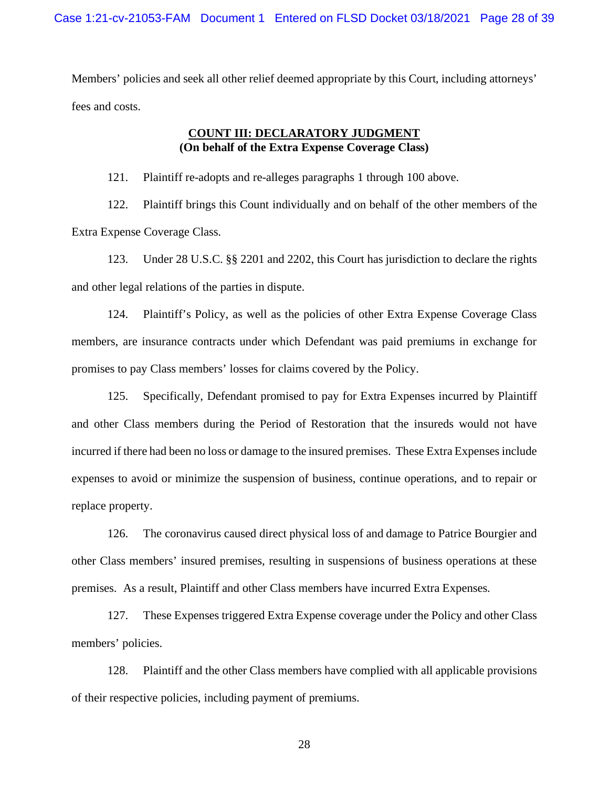Members' policies and seek all other relief deemed appropriate by this Court, including attorneys' fees and costs.

## **COUNT III: DECLARATORY JUDGMENT (On behalf of the Extra Expense Coverage Class)**

121. Plaintiff re-adopts and re-alleges paragraphs 1 through 100 above.

122. Plaintiff brings this Count individually and on behalf of the other members of the Extra Expense Coverage Class.

123. Under 28 U.S.C. §§ 2201 and 2202, this Court has jurisdiction to declare the rights and other legal relations of the parties in dispute.

124. Plaintiff's Policy, as well as the policies of other Extra Expense Coverage Class members, are insurance contracts under which Defendant was paid premiums in exchange for promises to pay Class members' losses for claims covered by the Policy.

125. Specifically, Defendant promised to pay for Extra Expenses incurred by Plaintiff and other Class members during the Period of Restoration that the insureds would not have incurred if there had been no loss or damage to the insured premises. These Extra Expenses include expenses to avoid or minimize the suspension of business, continue operations, and to repair or replace property.

126. The coronavirus caused direct physical loss of and damage to Patrice Bourgier and other Class members' insured premises, resulting in suspensions of business operations at these premises. As a result, Plaintiff and other Class members have incurred Extra Expenses.

127. These Expenses triggered Extra Expense coverage under the Policy and other Class members' policies.

128. Plaintiff and the other Class members have complied with all applicable provisions of their respective policies, including payment of premiums.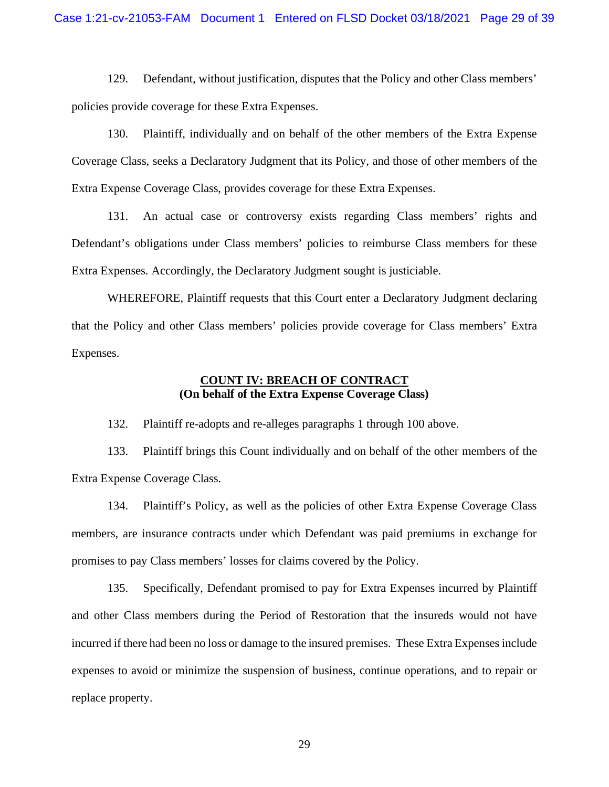129. Defendant, without justification, disputes that the Policy and other Class members' policies provide coverage for these Extra Expenses.

130. Plaintiff, individually and on behalf of the other members of the Extra Expense Coverage Class, seeks a Declaratory Judgment that its Policy, and those of other members of the Extra Expense Coverage Class, provides coverage for these Extra Expenses.

131. An actual case or controversy exists regarding Class members' rights and Defendant's obligations under Class members' policies to reimburse Class members for these Extra Expenses. Accordingly, the Declaratory Judgment sought is justiciable.

WHEREFORE, Plaintiff requests that this Court enter a Declaratory Judgment declaring that the Policy and other Class members' policies provide coverage for Class members' Extra Expenses.

## **COUNT IV: BREACH OF CONTRACT (On behalf of the Extra Expense Coverage Class)**

132. Plaintiff re-adopts and re-alleges paragraphs 1 through 100 above.

133. Plaintiff brings this Count individually and on behalf of the other members of the Extra Expense Coverage Class.

134. Plaintiff's Policy, as well as the policies of other Extra Expense Coverage Class members, are insurance contracts under which Defendant was paid premiums in exchange for promises to pay Class members' losses for claims covered by the Policy.

135. Specifically, Defendant promised to pay for Extra Expenses incurred by Plaintiff and other Class members during the Period of Restoration that the insureds would not have incurred if there had been no loss or damage to the insured premises. These Extra Expenses include expenses to avoid or minimize the suspension of business, continue operations, and to repair or replace property.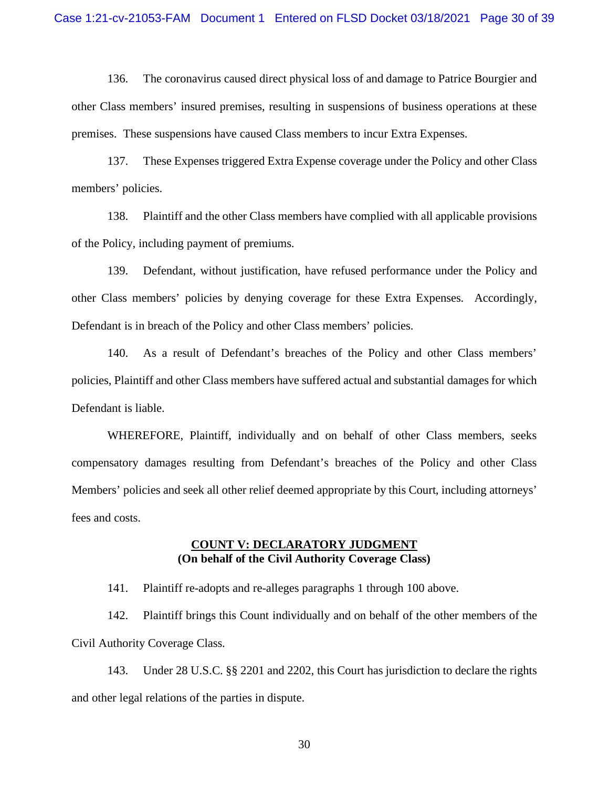136. The coronavirus caused direct physical loss of and damage to Patrice Bourgier and other Class members' insured premises, resulting in suspensions of business operations at these premises. These suspensions have caused Class members to incur Extra Expenses.

137. These Expenses triggered Extra Expense coverage under the Policy and other Class members' policies.

138. Plaintiff and the other Class members have complied with all applicable provisions of the Policy, including payment of premiums.

139. Defendant, without justification, have refused performance under the Policy and other Class members' policies by denying coverage for these Extra Expenses. Accordingly, Defendant is in breach of the Policy and other Class members' policies.

140. As a result of Defendant's breaches of the Policy and other Class members' policies, Plaintiff and other Class members have suffered actual and substantial damages for which Defendant is liable.

WHEREFORE, Plaintiff, individually and on behalf of other Class members, seeks compensatory damages resulting from Defendant's breaches of the Policy and other Class Members' policies and seek all other relief deemed appropriate by this Court, including attorneys' fees and costs.

## **COUNT V: DECLARATORY JUDGMENT (On behalf of the Civil Authority Coverage Class)**

141. Plaintiff re-adopts and re-alleges paragraphs 1 through 100 above.

142. Plaintiff brings this Count individually and on behalf of the other members of the Civil Authority Coverage Class.

143. Under 28 U.S.C. §§ 2201 and 2202, this Court has jurisdiction to declare the rights and other legal relations of the parties in dispute.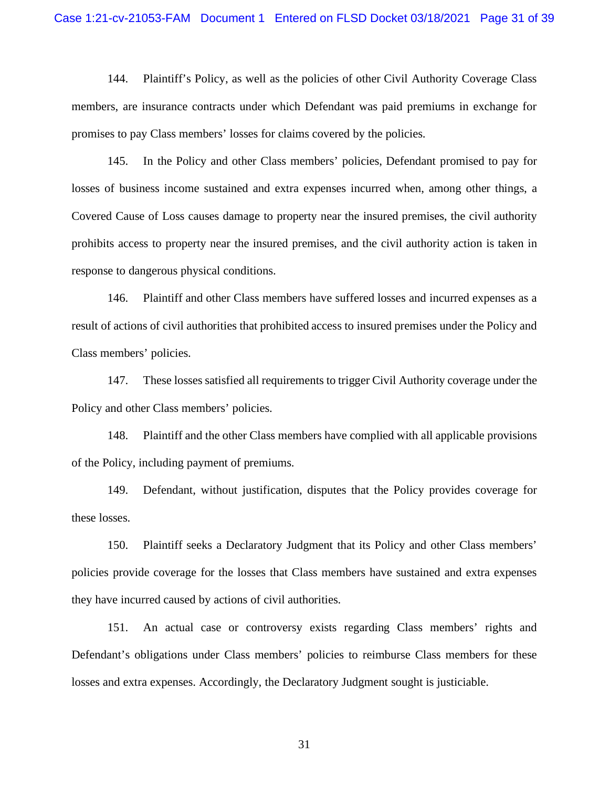144. Plaintiff's Policy, as well as the policies of other Civil Authority Coverage Class members, are insurance contracts under which Defendant was paid premiums in exchange for promises to pay Class members' losses for claims covered by the policies.

145. In the Policy and other Class members' policies, Defendant promised to pay for losses of business income sustained and extra expenses incurred when, among other things, a Covered Cause of Loss causes damage to property near the insured premises, the civil authority prohibits access to property near the insured premises, and the civil authority action is taken in response to dangerous physical conditions.

146. Plaintiff and other Class members have suffered losses and incurred expenses as a result of actions of civil authorities that prohibited access to insured premises under the Policy and Class members' policies.

147. These losses satisfied all requirements to trigger Civil Authority coverage under the Policy and other Class members' policies.

148. Plaintiff and the other Class members have complied with all applicable provisions of the Policy, including payment of premiums.

149. Defendant, without justification, disputes that the Policy provides coverage for these losses.

150. Plaintiff seeks a Declaratory Judgment that its Policy and other Class members' policies provide coverage for the losses that Class members have sustained and extra expenses they have incurred caused by actions of civil authorities.

151. An actual case or controversy exists regarding Class members' rights and Defendant's obligations under Class members' policies to reimburse Class members for these losses and extra expenses. Accordingly, the Declaratory Judgment sought is justiciable.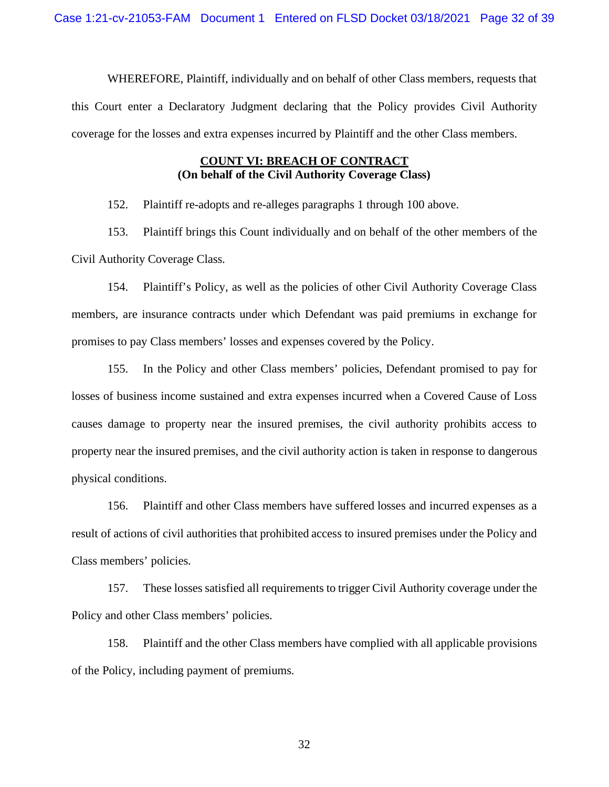WHEREFORE, Plaintiff, individually and on behalf of other Class members, requests that this Court enter a Declaratory Judgment declaring that the Policy provides Civil Authority coverage for the losses and extra expenses incurred by Plaintiff and the other Class members.

## **COUNT VI: BREACH OF CONTRACT (On behalf of the Civil Authority Coverage Class)**

152. Plaintiff re-adopts and re-alleges paragraphs 1 through 100 above.

153. Plaintiff brings this Count individually and on behalf of the other members of the Civil Authority Coverage Class.

154. Plaintiff's Policy, as well as the policies of other Civil Authority Coverage Class members, are insurance contracts under which Defendant was paid premiums in exchange for promises to pay Class members' losses and expenses covered by the Policy.

155. In the Policy and other Class members' policies, Defendant promised to pay for losses of business income sustained and extra expenses incurred when a Covered Cause of Loss causes damage to property near the insured premises, the civil authority prohibits access to property near the insured premises, and the civil authority action is taken in response to dangerous physical conditions.

156. Plaintiff and other Class members have suffered losses and incurred expenses as a result of actions of civil authorities that prohibited access to insured premises under the Policy and Class members' policies.

157. These losses satisfied all requirements to trigger Civil Authority coverage under the Policy and other Class members' policies.

158. Plaintiff and the other Class members have complied with all applicable provisions of the Policy, including payment of premiums.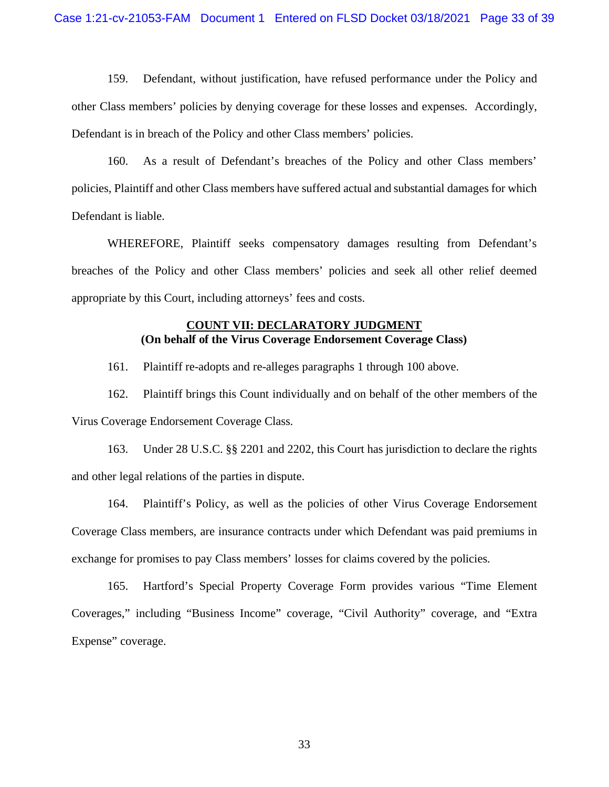159. Defendant, without justification, have refused performance under the Policy and other Class members' policies by denying coverage for these losses and expenses. Accordingly, Defendant is in breach of the Policy and other Class members' policies.

160. As a result of Defendant's breaches of the Policy and other Class members' policies, Plaintiff and other Class members have suffered actual and substantial damages for which Defendant is liable.

WHEREFORE, Plaintiff seeks compensatory damages resulting from Defendant's breaches of the Policy and other Class members' policies and seek all other relief deemed appropriate by this Court, including attorneys' fees and costs.

## **COUNT VII: DECLARATORY JUDGMENT (On behalf of the Virus Coverage Endorsement Coverage Class)**

161. Plaintiff re-adopts and re-alleges paragraphs 1 through 100 above.

162. Plaintiff brings this Count individually and on behalf of the other members of the Virus Coverage Endorsement Coverage Class.

163. Under 28 U.S.C. §§ 2201 and 2202, this Court has jurisdiction to declare the rights and other legal relations of the parties in dispute.

164. Plaintiff's Policy, as well as the policies of other Virus Coverage Endorsement Coverage Class members, are insurance contracts under which Defendant was paid premiums in exchange for promises to pay Class members' losses for claims covered by the policies.

165. Hartford's Special Property Coverage Form provides various "Time Element Coverages," including "Business Income" coverage, "Civil Authority" coverage, and "Extra Expense" coverage.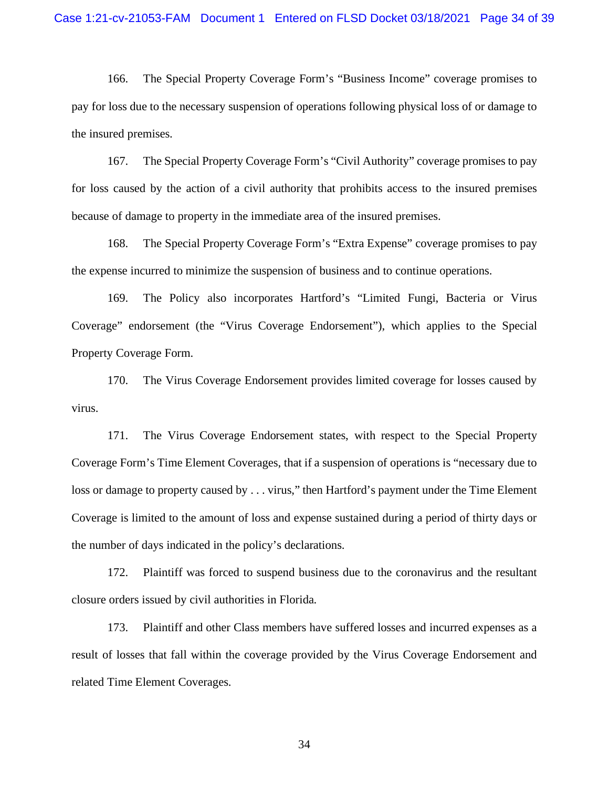166. The Special Property Coverage Form's "Business Income" coverage promises to pay for loss due to the necessary suspension of operations following physical loss of or damage to the insured premises.

167. The Special Property Coverage Form's "Civil Authority" coverage promises to pay for loss caused by the action of a civil authority that prohibits access to the insured premises because of damage to property in the immediate area of the insured premises.

168. The Special Property Coverage Form's "Extra Expense" coverage promises to pay the expense incurred to minimize the suspension of business and to continue operations.

169. The Policy also incorporates Hartford's "Limited Fungi, Bacteria or Virus Coverage" endorsement (the "Virus Coverage Endorsement"), which applies to the Special Property Coverage Form.

170. The Virus Coverage Endorsement provides limited coverage for losses caused by virus.

171. The Virus Coverage Endorsement states, with respect to the Special Property Coverage Form's Time Element Coverages, that if a suspension of operations is "necessary due to loss or damage to property caused by . . . virus," then Hartford's payment under the Time Element Coverage is limited to the amount of loss and expense sustained during a period of thirty days or the number of days indicated in the policy's declarations.

172. Plaintiff was forced to suspend business due to the coronavirus and the resultant closure orders issued by civil authorities in Florida.

173. Plaintiff and other Class members have suffered losses and incurred expenses as a result of losses that fall within the coverage provided by the Virus Coverage Endorsement and related Time Element Coverages.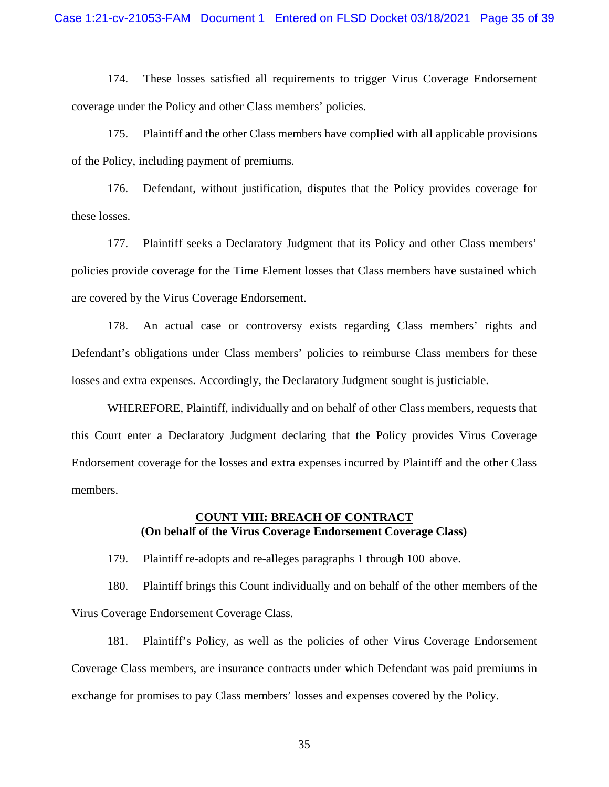174. These losses satisfied all requirements to trigger Virus Coverage Endorsement coverage under the Policy and other Class members' policies.

175. Plaintiff and the other Class members have complied with all applicable provisions of the Policy, including payment of premiums.

176. Defendant, without justification, disputes that the Policy provides coverage for these losses.

177. Plaintiff seeks a Declaratory Judgment that its Policy and other Class members' policies provide coverage for the Time Element losses that Class members have sustained which are covered by the Virus Coverage Endorsement.

178. An actual case or controversy exists regarding Class members' rights and Defendant's obligations under Class members' policies to reimburse Class members for these losses and extra expenses. Accordingly, the Declaratory Judgment sought is justiciable.

WHEREFORE, Plaintiff, individually and on behalf of other Class members, requests that this Court enter a Declaratory Judgment declaring that the Policy provides Virus Coverage Endorsement coverage for the losses and extra expenses incurred by Plaintiff and the other Class members.

## **COUNT VIII: BREACH OF CONTRACT (On behalf of the Virus Coverage Endorsement Coverage Class)**

179. Plaintiff re-adopts and re-alleges paragraphs 1 through 100 above.

180. Plaintiff brings this Count individually and on behalf of the other members of the Virus Coverage Endorsement Coverage Class.

181. Plaintiff's Policy, as well as the policies of other Virus Coverage Endorsement Coverage Class members, are insurance contracts under which Defendant was paid premiums in exchange for promises to pay Class members' losses and expenses covered by the Policy.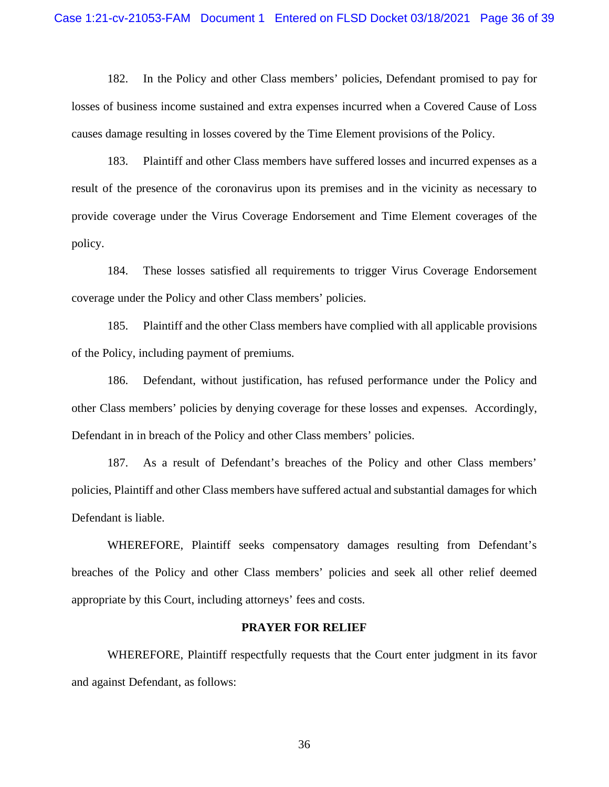182. In the Policy and other Class members' policies, Defendant promised to pay for losses of business income sustained and extra expenses incurred when a Covered Cause of Loss causes damage resulting in losses covered by the Time Element provisions of the Policy.

183. Plaintiff and other Class members have suffered losses and incurred expenses as a result of the presence of the coronavirus upon its premises and in the vicinity as necessary to provide coverage under the Virus Coverage Endorsement and Time Element coverages of the policy.

184. These losses satisfied all requirements to trigger Virus Coverage Endorsement coverage under the Policy and other Class members' policies.

185. Plaintiff and the other Class members have complied with all applicable provisions of the Policy, including payment of premiums.

186. Defendant, without justification, has refused performance under the Policy and other Class members' policies by denying coverage for these losses and expenses. Accordingly, Defendant in in breach of the Policy and other Class members' policies.

187. As a result of Defendant's breaches of the Policy and other Class members' policies, Plaintiff and other Class members have suffered actual and substantial damages for which Defendant is liable.

WHEREFORE, Plaintiff seeks compensatory damages resulting from Defendant's breaches of the Policy and other Class members' policies and seek all other relief deemed appropriate by this Court, including attorneys' fees and costs.

#### **PRAYER FOR RELIEF**

WHEREFORE, Plaintiff respectfully requests that the Court enter judgment in its favor and against Defendant, as follows: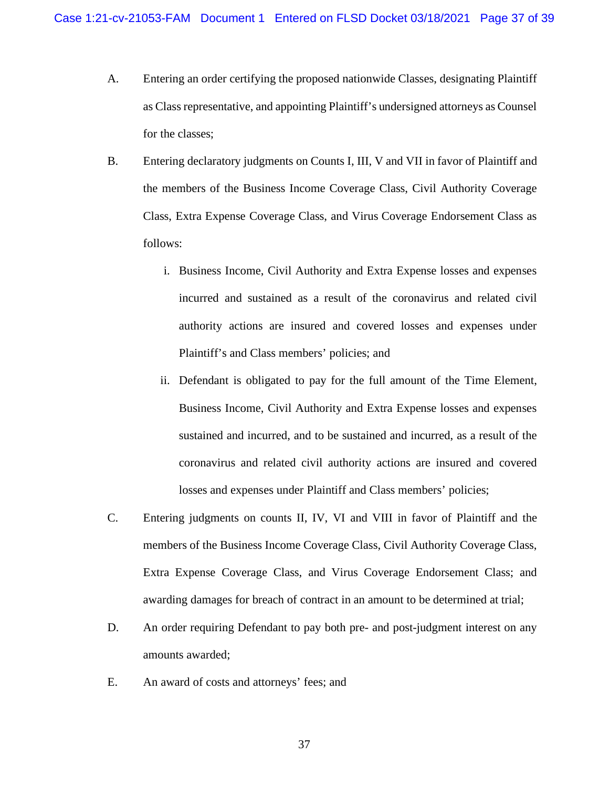- A. Entering an order certifying the proposed nationwide Classes, designating Plaintiff as Class representative, and appointing Plaintiff's undersigned attorneys as Counsel for the classes;
- B. Entering declaratory judgments on Counts I, III, V and VII in favor of Plaintiff and the members of the Business Income Coverage Class, Civil Authority Coverage Class, Extra Expense Coverage Class, and Virus Coverage Endorsement Class as follows:
	- i. Business Income, Civil Authority and Extra Expense losses and expenses incurred and sustained as a result of the coronavirus and related civil authority actions are insured and covered losses and expenses under Plaintiff's and Class members' policies; and
	- ii. Defendant is obligated to pay for the full amount of the Time Element, Business Income, Civil Authority and Extra Expense losses and expenses sustained and incurred, and to be sustained and incurred, as a result of the coronavirus and related civil authority actions are insured and covered losses and expenses under Plaintiff and Class members' policies;
- C. Entering judgments on counts II, IV, VI and VIII in favor of Plaintiff and the members of the Business Income Coverage Class, Civil Authority Coverage Class, Extra Expense Coverage Class, and Virus Coverage Endorsement Class; and awarding damages for breach of contract in an amount to be determined at trial;
- D. An order requiring Defendant to pay both pre- and post-judgment interest on any amounts awarded;
- E. An award of costs and attorneys' fees; and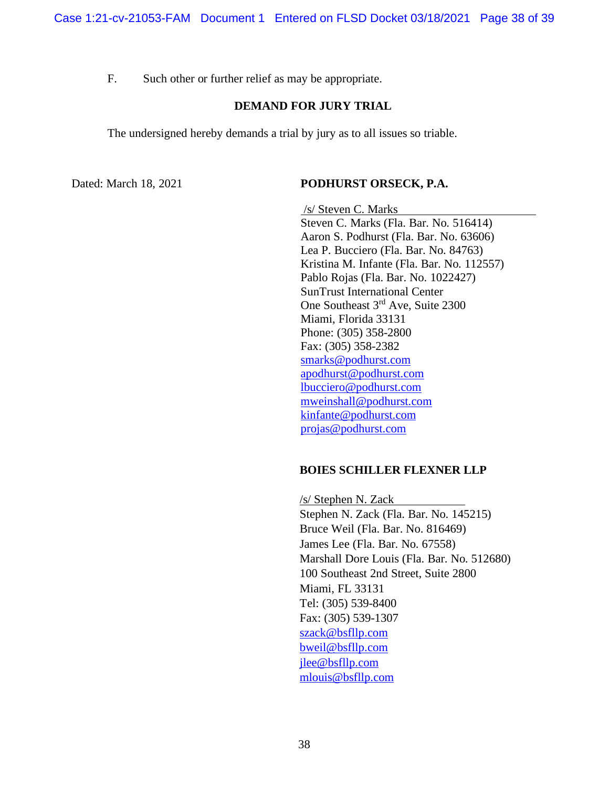F. Such other or further relief as may be appropriate.

## **DEMAND FOR JURY TRIAL**

The undersigned hereby demands a trial by jury as to all issues so triable.

### Dated: March 18, 2021 **PODHURST ORSECK, P.A.**

/s/ Steven C. Marks Steven C. Marks (Fla. Bar. No. 516414) Aaron S. Podhurst (Fla. Bar. No. 63606) Lea P. Bucciero (Fla. Bar. No. 84763) Kristina M. Infante (Fla. Bar. No. 112557) Pablo Rojas (Fla. Bar. No. 1022427) SunTrust International Center One Southeast 3rd Ave, Suite 2300 Miami, Florida 33131 Phone: (305) 358-2800 Fax: (305) 358-2382 smarks@podhurst.com apodhurst@podhurst.com lbucciero@podhurst.com mweinshall@podhurst.com kinfante@podhurst.com projas@podhurst.com

## **BOIES SCHILLER FLEXNER LLP**

/s/ Stephen N. Zack Stephen N. Zack (Fla. Bar. No. 145215) Bruce Weil (Fla. Bar. No. 816469) James Lee (Fla. Bar. No. 67558) Marshall Dore Louis (Fla. Bar. No. 512680) 100 Southeast 2nd Street, Suite 2800 Miami, FL 33131 Tel: (305) 539-8400 Fax: (305) 539-1307 szack@bsfllp.com bweil@bsfllp.com jlee@bsfllp.com mlouis@bsfllp.com